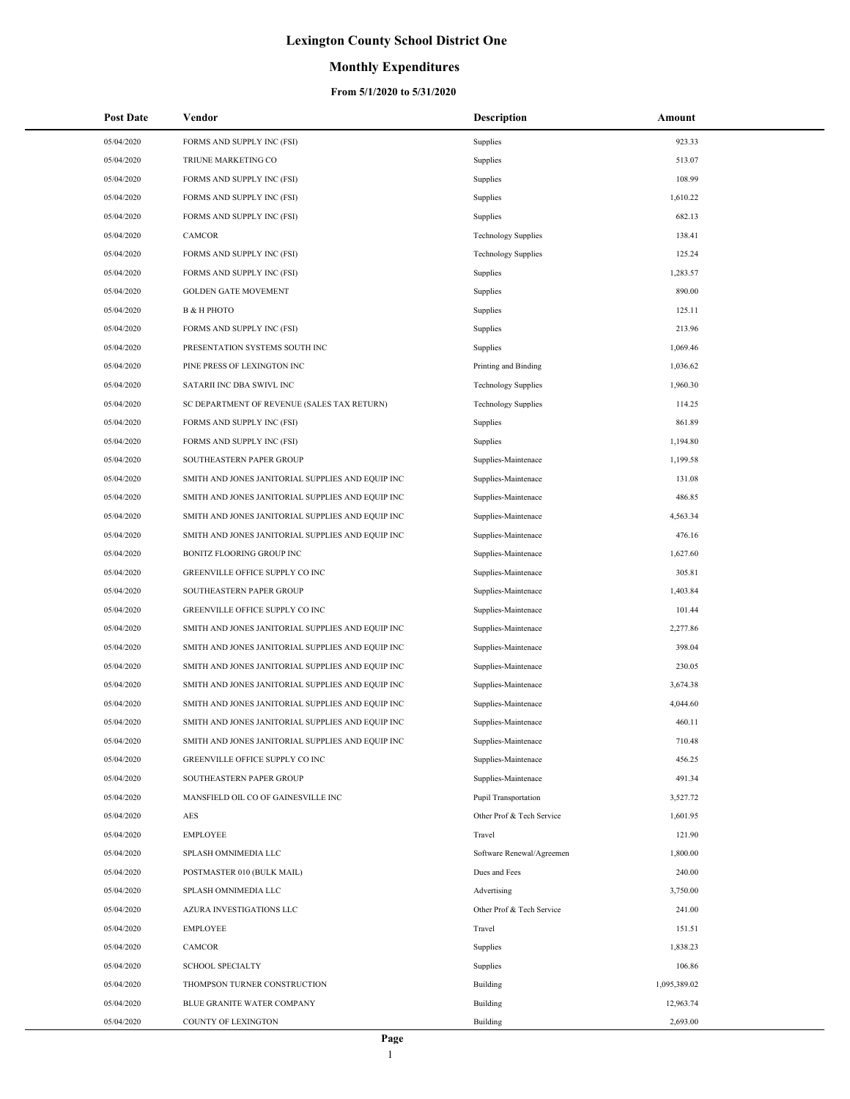## **Monthly Expenditures**

| <b>Post Date</b> | Vendor                                            | <b>Description</b>         | Amount       |
|------------------|---------------------------------------------------|----------------------------|--------------|
| 05/04/2020       | FORMS AND SUPPLY INC (FSI)                        | Supplies                   | 923.33       |
| 05/04/2020       | TRIUNE MARKETING CO                               | Supplies                   | 513.07       |
| 05/04/2020       | FORMS AND SUPPLY INC (FSI)                        | Supplies                   | 108.99       |
| 05/04/2020       | FORMS AND SUPPLY INC (FSI)                        | Supplies                   | 1,610.22     |
| 05/04/2020       | FORMS AND SUPPLY INC (FSI)                        | Supplies                   | 682.13       |
| 05/04/2020       | CAMCOR                                            | <b>Technology Supplies</b> | 138.41       |
| 05/04/2020       | FORMS AND SUPPLY INC (FSI)                        | <b>Technology Supplies</b> | 125.24       |
| 05/04/2020       | FORMS AND SUPPLY INC (FSI)                        | Supplies                   | 1,283.57     |
| 05/04/2020       | <b>GOLDEN GATE MOVEMENT</b>                       | Supplies                   | 890.00       |
| 05/04/2020       | В & Н РНОТО                                       | Supplies                   | 125.11       |
| 05/04/2020       | FORMS AND SUPPLY INC (FSI)                        | Supplies                   | 213.96       |
| 05/04/2020       | PRESENTATION SYSTEMS SOUTH INC                    | Supplies                   | 1,069.46     |
| 05/04/2020       | PINE PRESS OF LEXINGTON INC                       | Printing and Binding       | 1,036.62     |
| 05/04/2020       | SATARII INC DBA SWIVL INC                         | <b>Technology Supplies</b> | 1,960.30     |
| 05/04/2020       | SC DEPARTMENT OF REVENUE (SALES TAX RETURN)       | <b>Technology Supplies</b> | 114.25       |
| 05/04/2020       | FORMS AND SUPPLY INC (FSI)                        | Supplies                   | 861.89       |
| 05/04/2020       | FORMS AND SUPPLY INC (FSI)                        | Supplies                   | 1,194.80     |
| 05/04/2020       | SOUTHEASTERN PAPER GROUP                          | Supplies-Maintenace        | 1,199.58     |
| 05/04/2020       | SMITH AND JONES JANITORIAL SUPPLIES AND EQUIP INC | Supplies-Maintenace        | 131.08       |
| 05/04/2020       | SMITH AND JONES JANITORIAL SUPPLIES AND EQUIP INC | Supplies-Maintenace        | 486.85       |
| 05/04/2020       | SMITH AND JONES JANITORIAL SUPPLIES AND EQUIP INC | Supplies-Maintenace        | 4,563.34     |
| 05/04/2020       | SMITH AND JONES JANITORIAL SUPPLIES AND EQUIP INC | Supplies-Maintenace        | 476.16       |
| 05/04/2020       | BONITZ FLOORING GROUP INC                         | Supplies-Maintenace        | 1,627.60     |
| 05/04/2020       | GREENVILLE OFFICE SUPPLY CO INC                   | Supplies-Maintenace        | 305.81       |
| 05/04/2020       | SOUTHEASTERN PAPER GROUP                          | Supplies-Maintenace        | 1,403.84     |
| 05/04/2020       | GREENVILLE OFFICE SUPPLY CO INC                   | Supplies-Maintenace        | 101.44       |
| 05/04/2020       | SMITH AND JONES JANITORIAL SUPPLIES AND EQUIP INC | Supplies-Maintenace        | 2,277.86     |
| 05/04/2020       | SMITH AND JONES JANITORIAL SUPPLIES AND EQUIP INC | Supplies-Maintenace        | 398.04       |
| 05/04/2020       | SMITH AND JONES JANITORIAL SUPPLIES AND EQUIP INC | Supplies-Maintenace        | 230.05       |
| 05/04/2020       | SMITH AND JONES JANITORIAL SUPPLIES AND EQUIP INC | Supplies-Maintenace        | 3,674.38     |
| 05/04/2020       | SMITH AND JONES JANITORIAL SUPPLIES AND EQUIP INC | Supplies-Maintenace        | 4,044.60     |
| 05/04/2020       | SMITH AND JONES JANITORIAL SUPPLIES AND EQUIP INC | Supplies-Maintenace        | 460.11       |
| 05/04/2020       | SMITH AND JONES JANITORIAL SUPPLIES AND EQUIP INC | Supplies-Maintenace        | 710.48       |
| 05/04/2020       | GREENVILLE OFFICE SUPPLY CO INC                   | Supplies-Maintenace        | 456.25       |
| 05/04/2020       | SOUTHEASTERN PAPER GROUP                          | Supplies-Maintenace        | 491.34       |
| 05/04/2020       | MANSFIELD OIL CO OF GAINESVILLE INC               | Pupil Transportation       | 3,527.72     |
| 05/04/2020       | AES                                               | Other Prof & Tech Service  | 1,601.95     |
| 05/04/2020       | <b>EMPLOYEE</b>                                   | Travel                     | 121.90       |
| 05/04/2020       | SPLASH OMNIMEDIA LLC                              | Software Renewal/Agreemen  | 1,800.00     |
| 05/04/2020       | POSTMASTER 010 (BULK MAIL)                        | Dues and Fees              | 240.00       |
| 05/04/2020       | SPLASH OMNIMEDIA LLC                              | Advertising                | 3,750.00     |
| 05/04/2020       | AZURA INVESTIGATIONS LLC                          | Other Prof & Tech Service  | 241.00       |
| 05/04/2020       | <b>EMPLOYEE</b>                                   | Travel                     | 151.51       |
| 05/04/2020       | CAMCOR                                            | Supplies                   | 1,838.23     |
| 05/04/2020       | <b>SCHOOL SPECIALTY</b>                           | Supplies                   | 106.86       |
| 05/04/2020       | THOMPSON TURNER CONSTRUCTION                      | <b>Building</b>            | 1,095,389.02 |
| 05/04/2020       | BLUE GRANITE WATER COMPANY                        | <b>Building</b>            | 12,963.74    |
| 05/04/2020       | COUNTY OF LEXINGTON                               | <b>Building</b>            | 2,693.00     |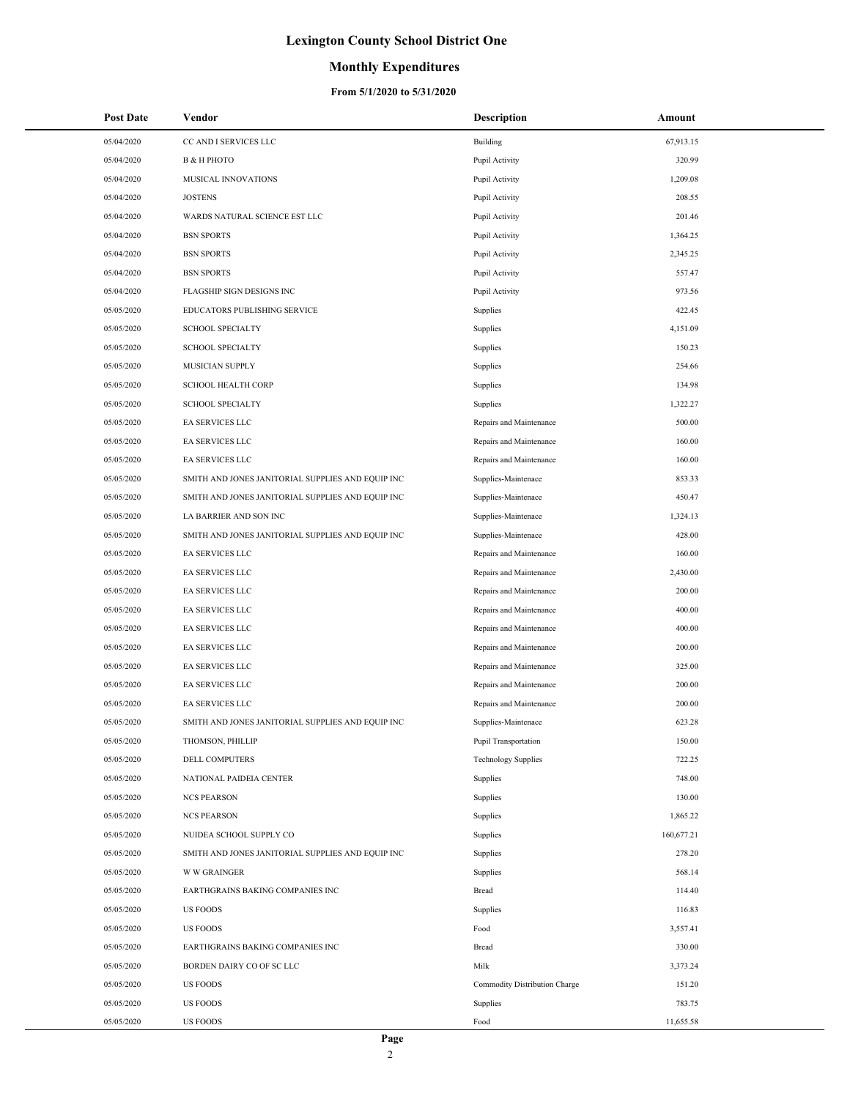### **Monthly Expenditures**

| <b>Post Date</b> | Vendor                                            | <b>Description</b>            | Amount     |
|------------------|---------------------------------------------------|-------------------------------|------------|
| 05/04/2020       | CC AND I SERVICES LLC                             | Building                      | 67,913.15  |
| 05/04/2020       | <b>B &amp; H PHOTO</b>                            | Pupil Activity                | 320.99     |
| 05/04/2020       | <b>MUSICAL INNOVATIONS</b>                        | Pupil Activity                | 1,209.08   |
| 05/04/2020       | <b>JOSTENS</b>                                    | Pupil Activity                | 208.55     |
| 05/04/2020       | WARDS NATURAL SCIENCE EST LLC                     | Pupil Activity                | 201.46     |
| 05/04/2020       | <b>BSN SPORTS</b>                                 | Pupil Activity                | 1,364.25   |
| 05/04/2020       | <b>BSN SPORTS</b>                                 | Pupil Activity                | 2,345.25   |
| 05/04/2020       | <b>BSN SPORTS</b>                                 | Pupil Activity                | 557.47     |
| 05/04/2020       | FLAGSHIP SIGN DESIGNS INC                         | Pupil Activity                | 973.56     |
| 05/05/2020       | EDUCATORS PUBLISHING SERVICE                      | Supplies                      | 422.45     |
| 05/05/2020       | <b>SCHOOL SPECIALTY</b>                           | Supplies                      | 4,151.09   |
| 05/05/2020       | <b>SCHOOL SPECIALTY</b>                           | Supplies                      | 150.23     |
| 05/05/2020       | MUSICIAN SUPPLY                                   | Supplies                      | 254.66     |
| 05/05/2020       | <b>SCHOOL HEALTH CORP</b>                         | Supplies                      | 134.98     |
| 05/05/2020       | <b>SCHOOL SPECIALTY</b>                           | Supplies                      | 1,322.27   |
| 05/05/2020       | EA SERVICES LLC                                   | Repairs and Maintenance       | 500.00     |
| 05/05/2020       | EA SERVICES LLC                                   | Repairs and Maintenance       | 160.00     |
| 05/05/2020       | <b>EA SERVICES LLC</b>                            | Repairs and Maintenance       | 160.00     |
| 05/05/2020       | SMITH AND JONES JANITORIAL SUPPLIES AND EQUIP INC | Supplies-Maintenace           | 853.33     |
| 05/05/2020       | SMITH AND JONES JANITORIAL SUPPLIES AND EQUIP INC | Supplies-Maintenace           | 450.47     |
| 05/05/2020       | LA BARRIER AND SON INC                            | Supplies-Maintenace           | 1,324.13   |
| 05/05/2020       | SMITH AND JONES JANITORIAL SUPPLIES AND EQUIP INC | Supplies-Maintenace           | 428.00     |
| 05/05/2020       | EA SERVICES LLC                                   | Repairs and Maintenance       | 160.00     |
| 05/05/2020       | EA SERVICES LLC                                   | Repairs and Maintenance       | 2,430.00   |
| 05/05/2020       | EA SERVICES LLC                                   | Repairs and Maintenance       | 200.00     |
| 05/05/2020       | EA SERVICES LLC                                   | Repairs and Maintenance       | 400.00     |
| 05/05/2020       | EA SERVICES LLC                                   | Repairs and Maintenance       | 400.00     |
| 05/05/2020       | EA SERVICES LLC                                   | Repairs and Maintenance       | 200.00     |
| 05/05/2020       | EA SERVICES LLC                                   | Repairs and Maintenance       | 325.00     |
| 05/05/2020       | EA SERVICES LLC                                   | Repairs and Maintenance       | 200.00     |
| 05/05/2020       | EA SERVICES LLC                                   | Repairs and Maintenance       | 200.00     |
| 05/05/2020       | SMITH AND JONES JANITORIAL SUPPLIES AND EOUIP INC | Supplies-Maintenace           | 623.28     |
| 05/05/2020       | THOMSON, PHILLIP                                  | Pupil Transportation          | 150.00     |
| 05/05/2020       | DELL COMPUTERS                                    | <b>Technology Supplies</b>    | 722.25     |
| 05/05/2020       | NATIONAL PAIDEIA CENTER                           | Supplies                      | 748.00     |
| 05/05/2020       | <b>NCS PEARSON</b>                                | Supplies                      | 130.00     |
| 05/05/2020       | <b>NCS PEARSON</b>                                | Supplies                      | 1,865.22   |
| 05/05/2020       | NUIDEA SCHOOL SUPPLY CO                           | Supplies                      | 160,677.21 |
| 05/05/2020       | SMITH AND JONES JANITORIAL SUPPLIES AND EQUIP INC | Supplies                      | 278.20     |
| 05/05/2020       | <b>W W GRAINGER</b>                               | Supplies                      | 568.14     |
| 05/05/2020       | EARTHGRAINS BAKING COMPANIES INC                  | Bread                         | 114.40     |
| 05/05/2020       | <b>US FOODS</b>                                   | Supplies                      | 116.83     |
| 05/05/2020       | <b>US FOODS</b>                                   | Food                          | 3,557.41   |
| 05/05/2020       | EARTHGRAINS BAKING COMPANIES INC                  | Bread                         | 330.00     |
| 05/05/2020       | BORDEN DAIRY CO OF SC LLC                         | Milk                          | 3,373.24   |
| 05/05/2020       | <b>US FOODS</b>                                   | Commodity Distribution Charge | 151.20     |
| 05/05/2020       | <b>US FOODS</b>                                   | Supplies                      | 783.75     |
| 05/05/2020       | <b>US FOODS</b>                                   | Food                          | 11,655.58  |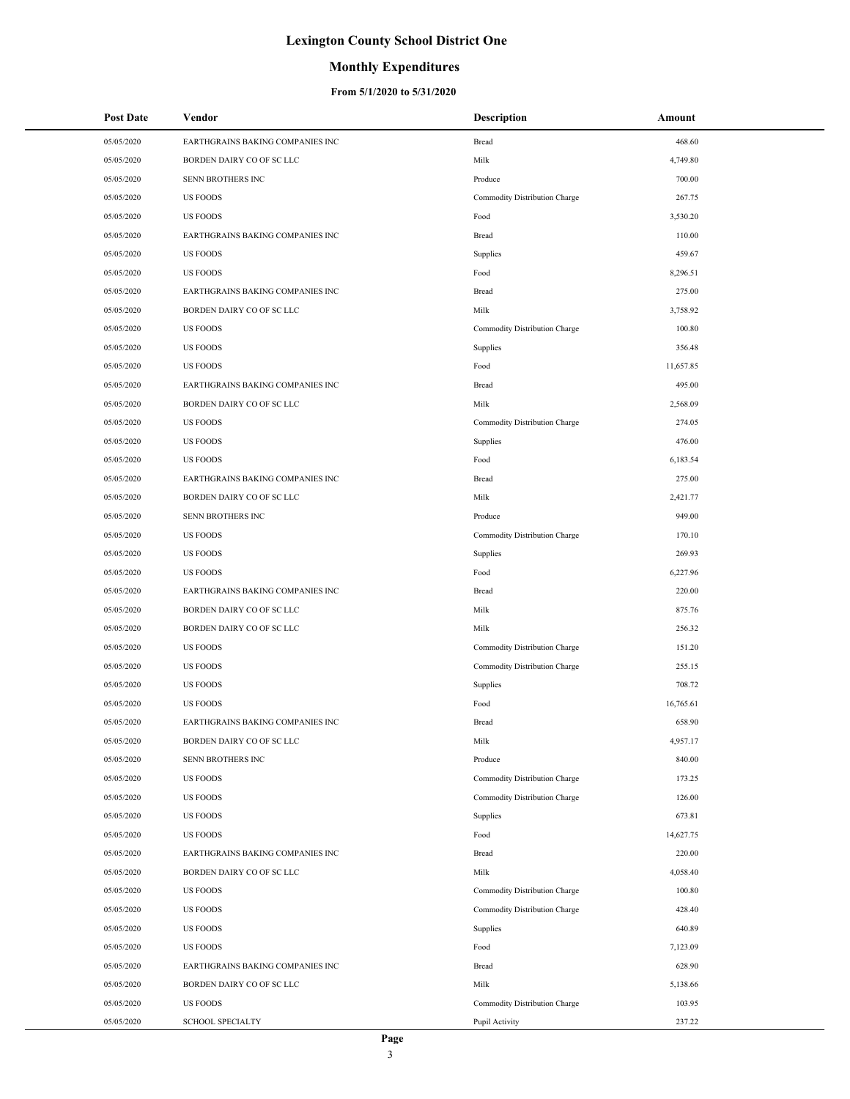### **Monthly Expenditures**

| <b>Post Date</b> | Vendor                           | <b>Description</b>            | Amount    |
|------------------|----------------------------------|-------------------------------|-----------|
| 05/05/2020       | EARTHGRAINS BAKING COMPANIES INC | Bread                         | 468.60    |
| 05/05/2020       | BORDEN DAIRY CO OF SC LLC        | Milk                          | 4,749.80  |
| 05/05/2020       | SENN BROTHERS INC                | Produce                       | 700.00    |
| 05/05/2020       | <b>US FOODS</b>                  | Commodity Distribution Charge | 267.75    |
| 05/05/2020       | <b>US FOODS</b>                  | Food                          | 3,530.20  |
| 05/05/2020       | EARTHGRAINS BAKING COMPANIES INC | Bread                         | 110.00    |
| 05/05/2020       | <b>US FOODS</b>                  | Supplies                      | 459.67    |
| 05/05/2020       | <b>US FOODS</b>                  | Food                          | 8,296.51  |
| 05/05/2020       | EARTHGRAINS BAKING COMPANIES INC | Bread                         | 275.00    |
| 05/05/2020       | BORDEN DAIRY CO OF SC LLC        | Milk                          | 3,758.92  |
| 05/05/2020       | <b>US FOODS</b>                  | Commodity Distribution Charge | 100.80    |
| 05/05/2020       | <b>US FOODS</b>                  | Supplies                      | 356.48    |
| 05/05/2020       | <b>US FOODS</b>                  | Food                          | 11,657.85 |
| 05/05/2020       | EARTHGRAINS BAKING COMPANIES INC | Bread                         | 495.00    |
| 05/05/2020       | BORDEN DAIRY CO OF SC LLC        | Milk                          | 2,568.09  |
| 05/05/2020       | <b>US FOODS</b>                  | Commodity Distribution Charge | 274.05    |
| 05/05/2020       | <b>US FOODS</b>                  | Supplies                      | 476.00    |
| 05/05/2020       | <b>US FOODS</b>                  | Food                          | 6,183.54  |
| 05/05/2020       | EARTHGRAINS BAKING COMPANIES INC | Bread                         | 275.00    |
| 05/05/2020       | BORDEN DAIRY CO OF SC LLC        | Milk                          | 2,421.77  |
| 05/05/2020       | SENN BROTHERS INC                | Produce                       | 949.00    |
| 05/05/2020       | <b>US FOODS</b>                  | Commodity Distribution Charge | 170.10    |
| 05/05/2020       | <b>US FOODS</b>                  | Supplies                      | 269.93    |
| 05/05/2020       | <b>US FOODS</b>                  | Food                          | 6,227.96  |
| 05/05/2020       | EARTHGRAINS BAKING COMPANIES INC | Bread                         | 220.00    |
| 05/05/2020       | BORDEN DAIRY CO OF SC LLC        | Milk                          | 875.76    |
| 05/05/2020       | BORDEN DAIRY CO OF SC LLC        | Milk                          | 256.32    |
| 05/05/2020       | <b>US FOODS</b>                  | Commodity Distribution Charge | 151.20    |
| 05/05/2020       | <b>US FOODS</b>                  | Commodity Distribution Charge | 255.15    |
| 05/05/2020       | <b>US FOODS</b>                  | Supplies                      | 708.72    |
| 05/05/2020       | <b>US FOODS</b>                  | Food                          | 16,765.61 |
| 05/05/2020       | EARTHGRAINS BAKING COMPANIES INC | Bread                         | 658.90    |
| 05/05/2020       | BORDEN DAIRY CO OF SC LLC        | Milk                          | 4,957.17  |
| 05/05/2020       | SENN BROTHERS INC                | Produce                       | 840.00    |
| 05/05/2020       | <b>US FOODS</b>                  | Commodity Distribution Charge | 173.25    |
| 05/05/2020       | <b>US FOODS</b>                  | Commodity Distribution Charge | 126.00    |
| 05/05/2020       | <b>US FOODS</b>                  | Supplies                      | 673.81    |
| 05/05/2020       | <b>US FOODS</b>                  | Food                          | 14,627.75 |
| 05/05/2020       | EARTHGRAINS BAKING COMPANIES INC | Bread                         | 220.00    |
| 05/05/2020       | BORDEN DAIRY CO OF SC LLC        | Milk                          | 4,058.40  |
| 05/05/2020       | <b>US FOODS</b>                  | Commodity Distribution Charge | 100.80    |
| 05/05/2020       | <b>US FOODS</b>                  | Commodity Distribution Charge | 428.40    |
| 05/05/2020       | <b>US FOODS</b>                  | Supplies                      | 640.89    |
| 05/05/2020       | <b>US FOODS</b>                  | Food                          | 7,123.09  |
| 05/05/2020       | EARTHGRAINS BAKING COMPANIES INC | Bread                         | 628.90    |
| 05/05/2020       | BORDEN DAIRY CO OF SC LLC        | Milk                          | 5,138.66  |
| 05/05/2020       | <b>US FOODS</b>                  | Commodity Distribution Charge | 103.95    |
| 05/05/2020       | <b>SCHOOL SPECIALTY</b>          | Pupil Activity                | 237.22    |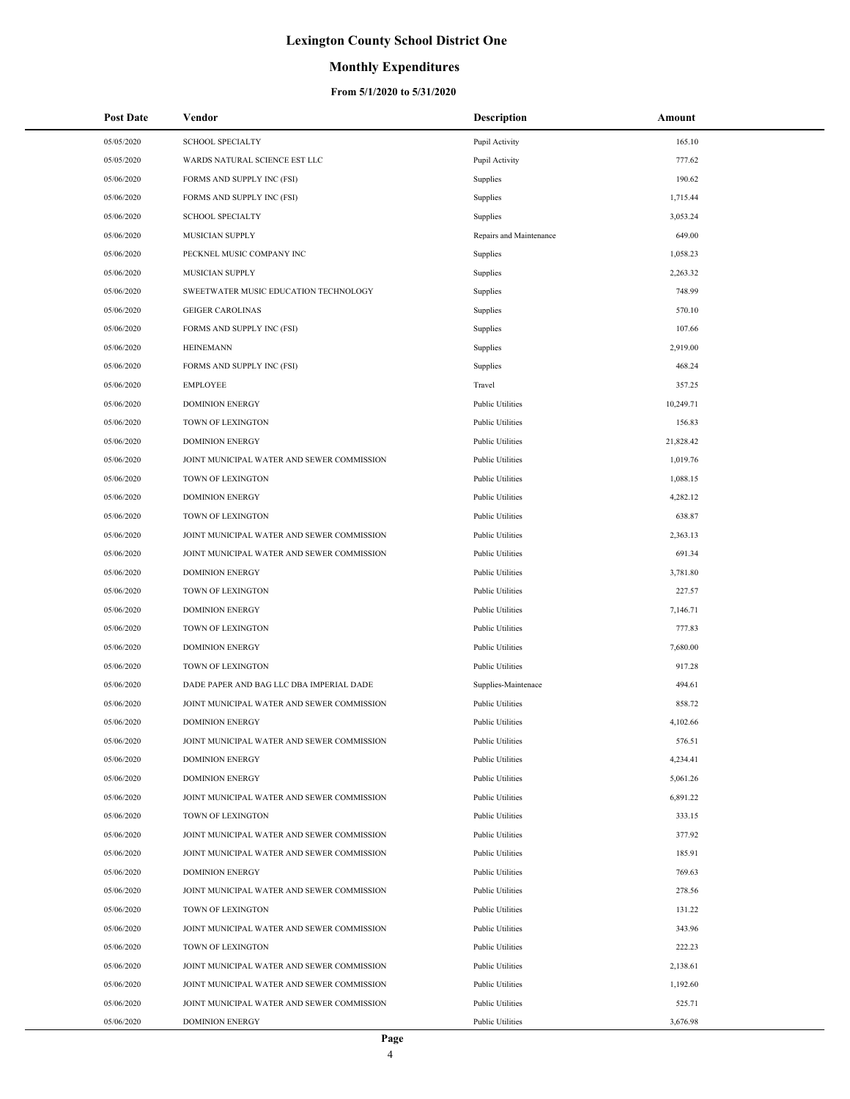## **Monthly Expenditures**

| <b>Post Date</b> | Vendor                                     | <b>Description</b>      | Amount    |
|------------------|--------------------------------------------|-------------------------|-----------|
| 05/05/2020       | <b>SCHOOL SPECIALTY</b>                    | Pupil Activity          | 165.10    |
| 05/05/2020       | WARDS NATURAL SCIENCE EST LLC              | Pupil Activity          | 777.62    |
| 05/06/2020       | FORMS AND SUPPLY INC (FSI)                 | Supplies                | 190.62    |
| 05/06/2020       | FORMS AND SUPPLY INC (FSI)                 | Supplies                | 1,715.44  |
| 05/06/2020       | <b>SCHOOL SPECIALTY</b>                    | Supplies                | 3,053.24  |
| 05/06/2020       | MUSICIAN SUPPLY                            | Repairs and Maintenance | 649.00    |
| 05/06/2020       | PECKNEL MUSIC COMPANY INC                  | Supplies                | 1,058.23  |
| 05/06/2020       | MUSICIAN SUPPLY                            | Supplies                | 2,263.32  |
| 05/06/2020       | SWEETWATER MUSIC EDUCATION TECHNOLOGY      | Supplies                | 748.99    |
| 05/06/2020       | <b>GEIGER CAROLINAS</b>                    | Supplies                | 570.10    |
| 05/06/2020       | FORMS AND SUPPLY INC (FSI)                 | Supplies                | 107.66    |
| 05/06/2020       | <b>HEINEMANN</b>                           | Supplies                | 2,919.00  |
| 05/06/2020       | FORMS AND SUPPLY INC (FSI)                 | Supplies                | 468.24    |
| 05/06/2020       | <b>EMPLOYEE</b>                            | Travel                  | 357.25    |
| 05/06/2020       | <b>DOMINION ENERGY</b>                     | <b>Public Utilities</b> | 10,249.71 |
| 05/06/2020       | TOWN OF LEXINGTON                          | <b>Public Utilities</b> | 156.83    |
| 05/06/2020       | <b>DOMINION ENERGY</b>                     | <b>Public Utilities</b> | 21,828.42 |
| 05/06/2020       | JOINT MUNICIPAL WATER AND SEWER COMMISSION | <b>Public Utilities</b> | 1,019.76  |
| 05/06/2020       | TOWN OF LEXINGTON                          | <b>Public Utilities</b> | 1,088.15  |
| 05/06/2020       | <b>DOMINION ENERGY</b>                     | <b>Public Utilities</b> | 4,282.12  |
| 05/06/2020       | TOWN OF LEXINGTON                          | <b>Public Utilities</b> | 638.87    |
| 05/06/2020       | JOINT MUNICIPAL WATER AND SEWER COMMISSION | <b>Public Utilities</b> | 2,363.13  |
| 05/06/2020       | JOINT MUNICIPAL WATER AND SEWER COMMISSION | <b>Public Utilities</b> | 691.34    |
| 05/06/2020       | <b>DOMINION ENERGY</b>                     | <b>Public Utilities</b> | 3,781.80  |
| 05/06/2020       | TOWN OF LEXINGTON                          | Public Utilities        | 227.57    |
| 05/06/2020       | <b>DOMINION ENERGY</b>                     | <b>Public Utilities</b> | 7,146.71  |
| 05/06/2020       | TOWN OF LEXINGTON                          | <b>Public Utilities</b> | 777.83    |
| 05/06/2020       | <b>DOMINION ENERGY</b>                     | <b>Public Utilities</b> | 7,680.00  |
| 05/06/2020       | TOWN OF LEXINGTON                          | <b>Public Utilities</b> | 917.28    |
| 05/06/2020       | DADE PAPER AND BAG LLC DBA IMPERIAL DADE   | Supplies-Maintenace     | 494.61    |
| 05/06/2020       | JOINT MUNICIPAL WATER AND SEWER COMMISSION | <b>Public Utilities</b> | 858.72    |
| 05/06/2020       | <b>DOMINION ENERGY</b>                     | <b>Public Utilities</b> | 4,102.66  |
| 05/06/2020       | JOINT MUNICIPAL WATER AND SEWER COMMISSION | <b>Public Utilities</b> | 576.51    |
| 05/06/2020       | <b>DOMINION ENERGY</b>                     | <b>Public Utilities</b> | 4,234.41  |
| 05/06/2020       | <b>DOMINION ENERGY</b>                     | <b>Public Utilities</b> | 5,061.26  |
| 05/06/2020       | JOINT MUNICIPAL WATER AND SEWER COMMISSION | <b>Public Utilities</b> | 6,891.22  |
| 05/06/2020       | TOWN OF LEXINGTON                          | <b>Public Utilities</b> | 333.15    |
| 05/06/2020       | JOINT MUNICIPAL WATER AND SEWER COMMISSION | <b>Public Utilities</b> | 377.92    |
| 05/06/2020       | JOINT MUNICIPAL WATER AND SEWER COMMISSION | <b>Public Utilities</b> | 185.91    |
| 05/06/2020       | <b>DOMINION ENERGY</b>                     | <b>Public Utilities</b> | 769.63    |
| 05/06/2020       | JOINT MUNICIPAL WATER AND SEWER COMMISSION | <b>Public Utilities</b> | 278.56    |
| 05/06/2020       | TOWN OF LEXINGTON                          | <b>Public Utilities</b> | 131.22    |
| 05/06/2020       | JOINT MUNICIPAL WATER AND SEWER COMMISSION | <b>Public Utilities</b> | 343.96    |
| 05/06/2020       | TOWN OF LEXINGTON                          | <b>Public Utilities</b> | 222.23    |
| 05/06/2020       | JOINT MUNICIPAL WATER AND SEWER COMMISSION | <b>Public Utilities</b> | 2,138.61  |
| 05/06/2020       | JOINT MUNICIPAL WATER AND SEWER COMMISSION | <b>Public Utilities</b> | 1,192.60  |
| 05/06/2020       | JOINT MUNICIPAL WATER AND SEWER COMMISSION | <b>Public Utilities</b> | 525.71    |
| 05/06/2020       | <b>DOMINION ENERGY</b>                     | <b>Public Utilities</b> | 3,676.98  |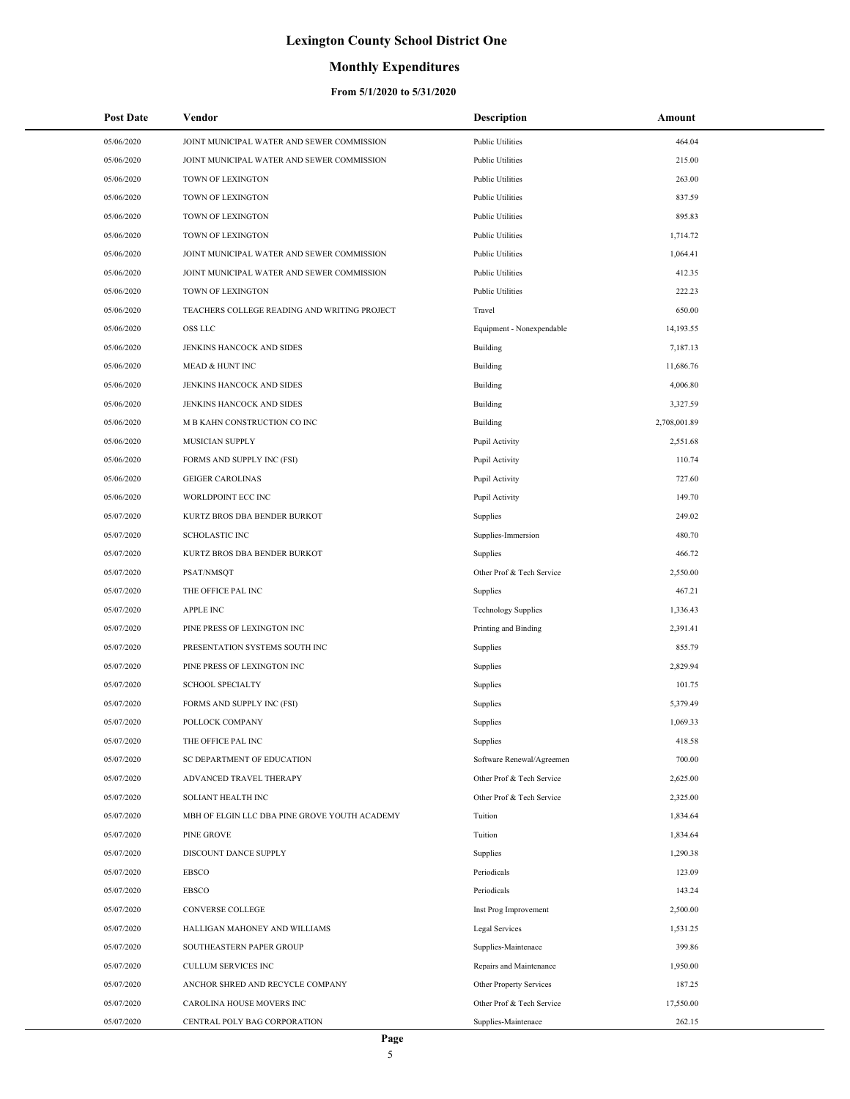### **Monthly Expenditures**

| <b>Post Date</b> | Vendor                                        | <b>Description</b>         | Amount       |
|------------------|-----------------------------------------------|----------------------------|--------------|
| 05/06/2020       | JOINT MUNICIPAL WATER AND SEWER COMMISSION    | <b>Public Utilities</b>    | 464.04       |
| 05/06/2020       | JOINT MUNICIPAL WATER AND SEWER COMMISSION    | <b>Public Utilities</b>    | 215.00       |
| 05/06/2020       | TOWN OF LEXINGTON                             | <b>Public Utilities</b>    | 263.00       |
| 05/06/2020       | TOWN OF LEXINGTON                             | <b>Public Utilities</b>    | 837.59       |
| 05/06/2020       | TOWN OF LEXINGTON                             | <b>Public Utilities</b>    | 895.83       |
| 05/06/2020       | TOWN OF LEXINGTON                             | <b>Public Utilities</b>    | 1,714.72     |
| 05/06/2020       | JOINT MUNICIPAL WATER AND SEWER COMMISSION    | <b>Public Utilities</b>    | 1,064.41     |
| 05/06/2020       | JOINT MUNICIPAL WATER AND SEWER COMMISSION    | <b>Public Utilities</b>    | 412.35       |
| 05/06/2020       | TOWN OF LEXINGTON                             | <b>Public Utilities</b>    | 222.23       |
| 05/06/2020       | TEACHERS COLLEGE READING AND WRITING PROJECT  | Travel                     | 650.00       |
| 05/06/2020       | OSS LLC                                       | Equipment - Nonexpendable  | 14,193.55    |
| 05/06/2020       | JENKINS HANCOCK AND SIDES                     | Building                   | 7,187.13     |
| 05/06/2020       | <b>MEAD &amp; HUNT INC</b>                    | Building                   | 11,686.76    |
| 05/06/2020       | JENKINS HANCOCK AND SIDES                     | Building                   | 4,006.80     |
| 05/06/2020       | JENKINS HANCOCK AND SIDES                     | Building                   | 3,327.59     |
| 05/06/2020       | M B KAHN CONSTRUCTION CO INC                  | Building                   | 2,708,001.89 |
| 05/06/2020       | MUSICIAN SUPPLY                               | Pupil Activity             | 2,551.68     |
| 05/06/2020       | FORMS AND SUPPLY INC (FSI)                    | Pupil Activity             | 110.74       |
| 05/06/2020       | <b>GEIGER CAROLINAS</b>                       | Pupil Activity             | 727.60       |
| 05/06/2020       | WORLDPOINT ECC INC                            | Pupil Activity             | 149.70       |
| 05/07/2020       | KURTZ BROS DBA BENDER BURKOT                  | Supplies                   | 249.02       |
| 05/07/2020       | <b>SCHOLASTIC INC</b>                         | Supplies-Immersion         | 480.70       |
| 05/07/2020       | KURTZ BROS DBA BENDER BURKOT                  | Supplies                   | 466.72       |
| 05/07/2020       | PSAT/NMSQT                                    | Other Prof & Tech Service  | 2,550.00     |
| 05/07/2020       | THE OFFICE PAL INC                            | Supplies                   | 467.21       |
| 05/07/2020       | <b>APPLE INC</b>                              | <b>Technology Supplies</b> | 1,336.43     |
| 05/07/2020       | PINE PRESS OF LEXINGTON INC                   | Printing and Binding       | 2,391.41     |
| 05/07/2020       | PRESENTATION SYSTEMS SOUTH INC                | Supplies                   | 855.79       |
| 05/07/2020       | PINE PRESS OF LEXINGTON INC                   | Supplies                   | 2,829.94     |
| 05/07/2020       | <b>SCHOOL SPECIALTY</b>                       | Supplies                   | 101.75       |
| 05/07/2020       | FORMS AND SUPPLY INC (FSI)                    | Supplies                   | 5,379.49     |
| 05/07/2020       | POLLOCK COMPANY                               | Supplies                   | 1,069.33     |
| 05/07/2020       | THE OFFICE PAL INC                            | Supplies                   | 418.58       |
| 05/07/2020       | SC DEPARTMENT OF EDUCATION                    | Software Renewal/Agreemen  | 700.00       |
| 05/07/2020       | ADVANCED TRAVEL THERAPY                       | Other Prof & Tech Service  | 2,625.00     |
| 05/07/2020       | SOLIANT HEALTH INC                            | Other Prof & Tech Service  | 2,325.00     |
| 05/07/2020       | MBH OF ELGIN LLC DBA PINE GROVE YOUTH ACADEMY | Tuition                    | 1,834.64     |
| 05/07/2020       | PINE GROVE                                    | Tuition                    | 1,834.64     |
| 05/07/2020       | DISCOUNT DANCE SUPPLY                         | Supplies                   | 1,290.38     |
| 05/07/2020       | <b>EBSCO</b>                                  | Periodicals                | 123.09       |
| 05/07/2020       | <b>EBSCO</b>                                  | Periodicals                | 143.24       |
| 05/07/2020       | CONVERSE COLLEGE                              | Inst Prog Improvement      | 2,500.00     |
| 05/07/2020       | HALLIGAN MAHONEY AND WILLIAMS                 | Legal Services             | 1,531.25     |
| 05/07/2020       | SOUTHEASTERN PAPER GROUP                      | Supplies-Maintenace        | 399.86       |
| 05/07/2020       | CULLUM SERVICES INC                           | Repairs and Maintenance    | 1,950.00     |
| 05/07/2020       | ANCHOR SHRED AND RECYCLE COMPANY              | Other Property Services    | 187.25       |
| 05/07/2020       | CAROLINA HOUSE MOVERS INC                     | Other Prof & Tech Service  | 17,550.00    |
| 05/07/2020       | CENTRAL POLY BAG CORPORATION                  | Supplies-Maintenace        | 262.15       |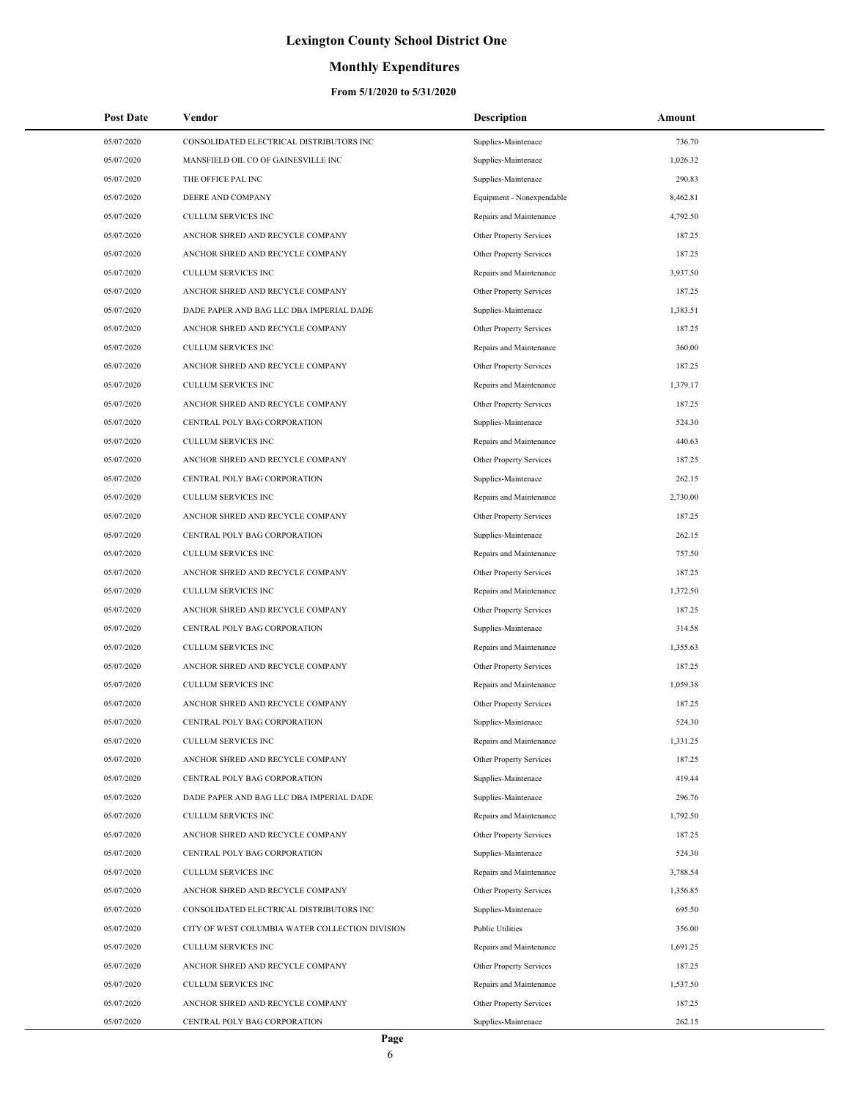### **Monthly Expenditures**

| <b>Post Date</b> | Vendor                                          | <b>Description</b>        | Amount   |  |
|------------------|-------------------------------------------------|---------------------------|----------|--|
| 05/07/2020       | CONSOLIDATED ELECTRICAL DISTRIBUTORS INC        | Supplies-Maintenace       | 736.70   |  |
| 05/07/2020       | MANSFIELD OIL CO OF GAINESVILLE INC             | Supplies-Maintenace       | 1,026.32 |  |
| 05/07/2020       | THE OFFICE PAL INC                              | Supplies-Maintenace       | 290.83   |  |
| 05/07/2020       | DEERE AND COMPANY                               | Equipment - Nonexpendable | 8,462.81 |  |
| 05/07/2020       | <b>CULLUM SERVICES INC</b>                      | Repairs and Maintenance   | 4,792.50 |  |
| 05/07/2020       | ANCHOR SHRED AND RECYCLE COMPANY                | Other Property Services   | 187.25   |  |
| 05/07/2020       | ANCHOR SHRED AND RECYCLE COMPANY                | Other Property Services   | 187.25   |  |
| 05/07/2020       | <b>CULLUM SERVICES INC</b>                      | Repairs and Maintenance   | 3,937.50 |  |
| 05/07/2020       | ANCHOR SHRED AND RECYCLE COMPANY                | Other Property Services   | 187.25   |  |
| 05/07/2020       | DADE PAPER AND BAG LLC DBA IMPERIAL DADE        | Supplies-Maintenace       | 1,383.51 |  |
| 05/07/2020       | ANCHOR SHRED AND RECYCLE COMPANY                | Other Property Services   | 187.25   |  |
| 05/07/2020       | <b>CULLUM SERVICES INC</b>                      | Repairs and Maintenance   | 360.00   |  |
| 05/07/2020       | ANCHOR SHRED AND RECYCLE COMPANY                | Other Property Services   | 187.25   |  |
| 05/07/2020       | <b>CULLUM SERVICES INC</b>                      | Repairs and Maintenance   | 1,379.17 |  |
| 05/07/2020       | ANCHOR SHRED AND RECYCLE COMPANY                | Other Property Services   | 187.25   |  |
| 05/07/2020       | CENTRAL POLY BAG CORPORATION                    | Supplies-Maintenace       | 524.30   |  |
| 05/07/2020       | <b>CULLUM SERVICES INC</b>                      | Repairs and Maintenance   | 440.63   |  |
| 05/07/2020       | ANCHOR SHRED AND RECYCLE COMPANY                | Other Property Services   | 187.25   |  |
| 05/07/2020       | CENTRAL POLY BAG CORPORATION                    | Supplies-Maintenace       | 262.15   |  |
| 05/07/2020       | <b>CULLUM SERVICES INC</b>                      | Repairs and Maintenance   | 2,730.00 |  |
| 05/07/2020       | ANCHOR SHRED AND RECYCLE COMPANY                | Other Property Services   | 187.25   |  |
| 05/07/2020       | CENTRAL POLY BAG CORPORATION                    | Supplies-Maintenace       | 262.15   |  |
| 05/07/2020       | <b>CULLUM SERVICES INC</b>                      | Repairs and Maintenance   | 757.50   |  |
| 05/07/2020       | ANCHOR SHRED AND RECYCLE COMPANY                | Other Property Services   | 187.25   |  |
| 05/07/2020       | CULLUM SERVICES INC                             | Repairs and Maintenance   | 1,372.50 |  |
| 05/07/2020       | ANCHOR SHRED AND RECYCLE COMPANY                | Other Property Services   | 187.25   |  |
| 05/07/2020       | CENTRAL POLY BAG CORPORATION                    | Supplies-Maintenace       | 314.58   |  |
| 05/07/2020       | <b>CULLUM SERVICES INC</b>                      | Repairs and Maintenance   | 1,355.63 |  |
| 05/07/2020       | ANCHOR SHRED AND RECYCLE COMPANY                | Other Property Services   | 187.25   |  |
| 05/07/2020       | <b>CULLUM SERVICES INC</b>                      | Repairs and Maintenance   | 1,059.38 |  |
| 05/07/2020       | ANCHOR SHRED AND RECYCLE COMPANY                | Other Property Services   | 187.25   |  |
| 05/07/2020       | CENTRAL POLY BAG CORPORATION                    | Supplies-Maintenace       | 524.30   |  |
| 05/07/2020       | CULLUM SERVICES INC                             | Repairs and Maintenance   | 1,331.25 |  |
| 05/07/2020       | ANCHOR SHRED AND RECYCLE COMPANY                | Other Property Services   | 187.25   |  |
| 05/07/2020       | CENTRAL POLY BAG CORPORATION                    | Supplies-Maintenace       | 419.44   |  |
| 05/07/2020       | DADE PAPER AND BAG LLC DBA IMPERIAL DADE        | Supplies-Maintenace       | 296.76   |  |
| 05/07/2020       | CULLUM SERVICES INC                             | Repairs and Maintenance   | 1,792.50 |  |
| 05/07/2020       | ANCHOR SHRED AND RECYCLE COMPANY                | Other Property Services   | 187.25   |  |
| 05/07/2020       | CENTRAL POLY BAG CORPORATION                    | Supplies-Maintenace       | 524.30   |  |
| 05/07/2020       | <b>CULLUM SERVICES INC</b>                      | Repairs and Maintenance   | 3,788.54 |  |
| 05/07/2020       | ANCHOR SHRED AND RECYCLE COMPANY                | Other Property Services   | 1,356.85 |  |
| 05/07/2020       | CONSOLIDATED ELECTRICAL DISTRIBUTORS INC        | Supplies-Maintenace       | 695.50   |  |
| 05/07/2020       | CITY OF WEST COLUMBIA WATER COLLECTION DIVISION | <b>Public Utilities</b>   | 356.00   |  |
| 05/07/2020       | <b>CULLUM SERVICES INC</b>                      | Repairs and Maintenance   | 1,691.25 |  |
| 05/07/2020       | ANCHOR SHRED AND RECYCLE COMPANY                | Other Property Services   | 187.25   |  |
| 05/07/2020       | CULLUM SERVICES INC                             | Repairs and Maintenance   | 1,537.50 |  |
| 05/07/2020       | ANCHOR SHRED AND RECYCLE COMPANY                | Other Property Services   | 187.25   |  |
| 05/07/2020       | CENTRAL POLY BAG CORPORATION                    | Supplies-Maintenace       | 262.15   |  |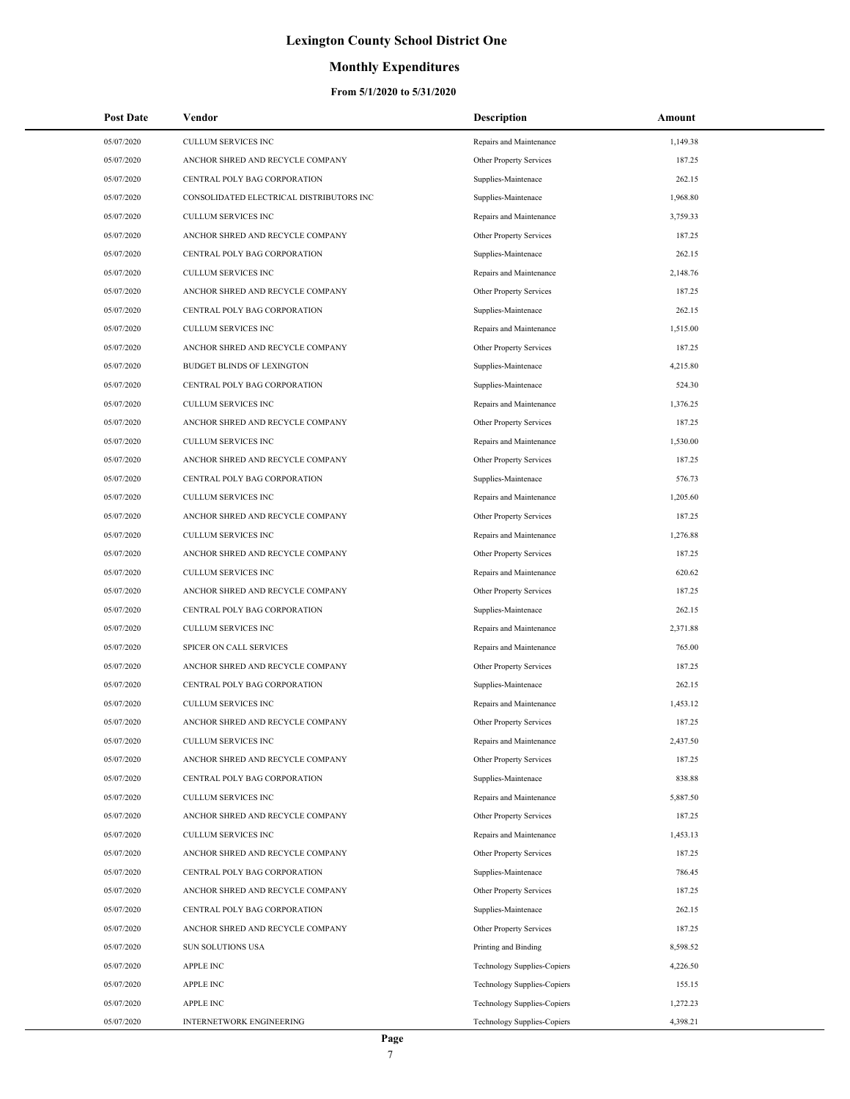## **Monthly Expenditures**

| <b>Post Date</b> | Vendor                                   | <b>Description</b>                 | Amount   |
|------------------|------------------------------------------|------------------------------------|----------|
| 05/07/2020       | <b>CULLUM SERVICES INC</b>               | Repairs and Maintenance            | 1,149.38 |
| 05/07/2020       | ANCHOR SHRED AND RECYCLE COMPANY         | Other Property Services            | 187.25   |
| 05/07/2020       | CENTRAL POLY BAG CORPORATION             | Supplies-Maintenace                | 262.15   |
| 05/07/2020       | CONSOLIDATED ELECTRICAL DISTRIBUTORS INC | Supplies-Maintenace                | 1.968.80 |
| 05/07/2020       | <b>CULLUM SERVICES INC</b>               | Repairs and Maintenance            | 3,759.33 |
| 05/07/2020       | ANCHOR SHRED AND RECYCLE COMPANY         | Other Property Services            | 187.25   |
| 05/07/2020       | CENTRAL POLY BAG CORPORATION             | Supplies-Maintenace                | 262.15   |
| 05/07/2020       | CULLUM SERVICES INC                      | Repairs and Maintenance            | 2,148.76 |
| 05/07/2020       | ANCHOR SHRED AND RECYCLE COMPANY         | Other Property Services            | 187.25   |
| 05/07/2020       | CENTRAL POLY BAG CORPORATION             | Supplies-Maintenace                | 262.15   |
| 05/07/2020       | <b>CULLUM SERVICES INC</b>               | Repairs and Maintenance            | 1,515.00 |
| 05/07/2020       | ANCHOR SHRED AND RECYCLE COMPANY         | Other Property Services            | 187.25   |
| 05/07/2020       | <b>BUDGET BLINDS OF LEXINGTON</b>        | Supplies-Maintenace                | 4,215.80 |
| 05/07/2020       | CENTRAL POLY BAG CORPORATION             | Supplies-Maintenace                | 524.30   |
| 05/07/2020       | <b>CULLUM SERVICES INC</b>               | Repairs and Maintenance            | 1,376.25 |
| 05/07/2020       | ANCHOR SHRED AND RECYCLE COMPANY         | Other Property Services            | 187.25   |
| 05/07/2020       | <b>CULLUM SERVICES INC</b>               | Repairs and Maintenance            | 1,530.00 |
| 05/07/2020       | ANCHOR SHRED AND RECYCLE COMPANY         | Other Property Services            | 187.25   |
| 05/07/2020       | CENTRAL POLY BAG CORPORATION             | Supplies-Maintenace                | 576.73   |
| 05/07/2020       | <b>CULLUM SERVICES INC</b>               | Repairs and Maintenance            | 1,205.60 |
| 05/07/2020       | ANCHOR SHRED AND RECYCLE COMPANY         | Other Property Services            | 187.25   |
| 05/07/2020       | <b>CULLUM SERVICES INC</b>               | Repairs and Maintenance            | 1,276.88 |
| 05/07/2020       | ANCHOR SHRED AND RECYCLE COMPANY         | Other Property Services            | 187.25   |
| 05/07/2020       | <b>CULLUM SERVICES INC</b>               | Repairs and Maintenance            | 620.62   |
| 05/07/2020       | ANCHOR SHRED AND RECYCLE COMPANY         | Other Property Services            | 187.25   |
| 05/07/2020       | CENTRAL POLY BAG CORPORATION             | Supplies-Maintenace                | 262.15   |
| 05/07/2020       | <b>CULLUM SERVICES INC</b>               | Repairs and Maintenance            | 2,371.88 |
| 05/07/2020       | SPICER ON CALL SERVICES                  | Repairs and Maintenance            | 765.00   |
| 05/07/2020       | ANCHOR SHRED AND RECYCLE COMPANY         | Other Property Services            | 187.25   |
| 05/07/2020       | CENTRAL POLY BAG CORPORATION             | Supplies-Maintenace                | 262.15   |
| 05/07/2020       | <b>CULLUM SERVICES INC</b>               | Repairs and Maintenance            | 1,453.12 |
| 05/07/2020       | ANCHOR SHRED AND RECYCLE COMPANY         | Other Property Services            | 187.25   |
| 05/07/2020       | CULLUM SERVICES INC                      | Repairs and Maintenance            | 2,437.50 |
| 05/07/2020       | ANCHOR SHRED AND RECYCLE COMPANY         | Other Property Services            | 187.25   |
| 05/07/2020       | CENTRAL POLY BAG CORPORATION             | Supplies-Maintenace                | 838.88   |
| 05/07/2020       | <b>CULLUM SERVICES INC</b>               | Repairs and Maintenance            | 5,887.50 |
| 05/07/2020       | ANCHOR SHRED AND RECYCLE COMPANY         | Other Property Services            | 187.25   |
| 05/07/2020       | <b>CULLUM SERVICES INC</b>               | Repairs and Maintenance            | 1,453.13 |
| 05/07/2020       | ANCHOR SHRED AND RECYCLE COMPANY         | Other Property Services            | 187.25   |
| 05/07/2020       | CENTRAL POLY BAG CORPORATION             | Supplies-Maintenace                | 786.45   |
| 05/07/2020       | ANCHOR SHRED AND RECYCLE COMPANY         | Other Property Services            | 187.25   |
| 05/07/2020       | CENTRAL POLY BAG CORPORATION             | Supplies-Maintenace                | 262.15   |
| 05/07/2020       | ANCHOR SHRED AND RECYCLE COMPANY         | Other Property Services            | 187.25   |
| 05/07/2020       | <b>SUN SOLUTIONS USA</b>                 | Printing and Binding               | 8,598.52 |
| 05/07/2020       | <b>APPLE INC</b>                         | <b>Technology Supplies-Copiers</b> | 4,226.50 |
| 05/07/2020       | <b>APPLE INC</b>                         | <b>Technology Supplies-Copiers</b> | 155.15   |
| 05/07/2020       | <b>APPLE INC</b>                         | <b>Technology Supplies-Copiers</b> | 1,272.23 |
| 05/07/2020       | INTERNETWORK ENGINEERING                 | Technology Supplies-Copiers        | 4,398.21 |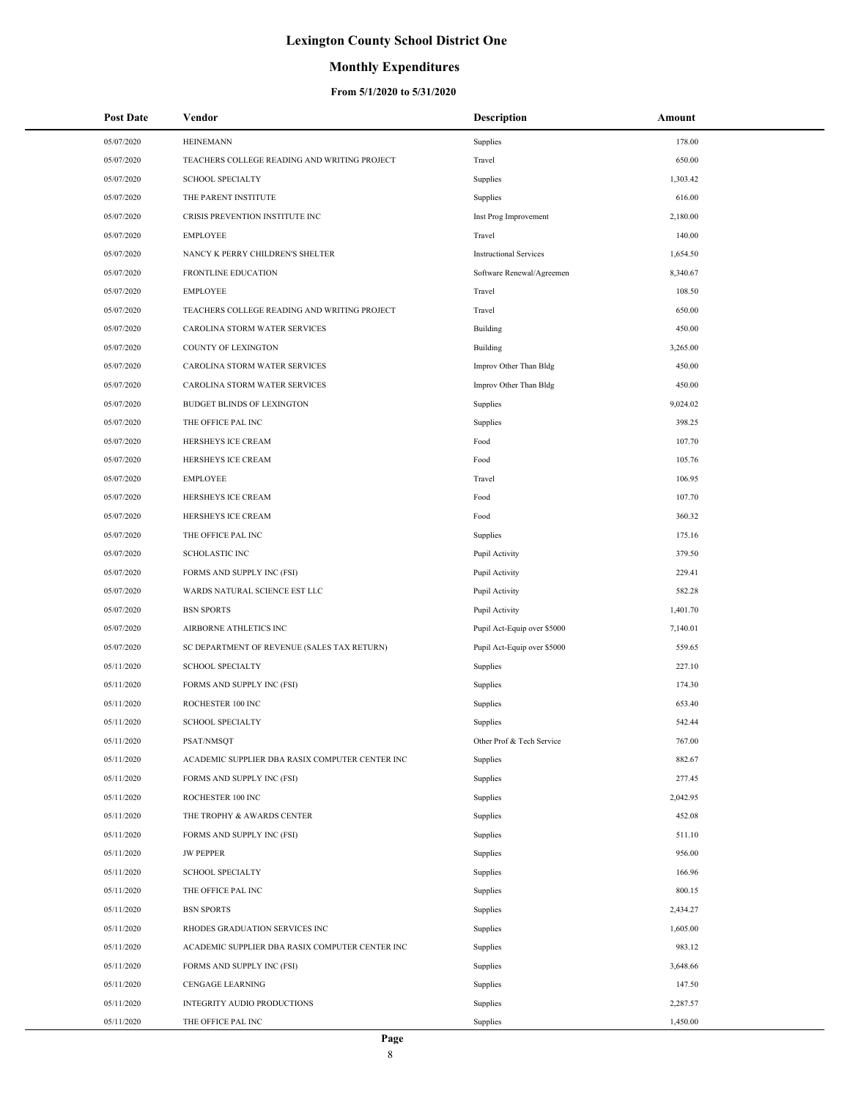### **Monthly Expenditures**

| <b>Post Date</b> | Vendor                                          | Description                   | Amount   |
|------------------|-------------------------------------------------|-------------------------------|----------|
| 05/07/2020       | <b>HEINEMANN</b>                                | Supplies                      | 178.00   |
| 05/07/2020       | TEACHERS COLLEGE READING AND WRITING PROJECT    | Travel                        | 650.00   |
| 05/07/2020       | <b>SCHOOL SPECIALTY</b>                         | Supplies                      | 1,303.42 |
| 05/07/2020       | THE PARENT INSTITUTE                            | Supplies                      | 616.00   |
| 05/07/2020       | CRISIS PREVENTION INSTITUTE INC                 | Inst Prog Improvement         | 2,180.00 |
| 05/07/2020       | <b>EMPLOYEE</b>                                 | Travel                        | 140.00   |
| 05/07/2020       | NANCY K PERRY CHILDREN'S SHELTER                | <b>Instructional Services</b> | 1,654.50 |
| 05/07/2020       | <b>FRONTLINE EDUCATION</b>                      | Software Renewal/Agreemen     | 8,340.67 |
| 05/07/2020       | <b>EMPLOYEE</b>                                 | Travel                        | 108.50   |
| 05/07/2020       | TEACHERS COLLEGE READING AND WRITING PROJECT    | Travel                        | 650.00   |
| 05/07/2020       | CAROLINA STORM WATER SERVICES                   | Building                      | 450.00   |
| 05/07/2020       | COUNTY OF LEXINGTON                             | Building                      | 3,265.00 |
| 05/07/2020       | CAROLINA STORM WATER SERVICES                   | Improv Other Than Bldg        | 450.00   |
| 05/07/2020       | CAROLINA STORM WATER SERVICES                   | Improv Other Than Bldg        | 450.00   |
| 05/07/2020       | <b>BUDGET BLINDS OF LEXINGTON</b>               | Supplies                      | 9,024.02 |
| 05/07/2020       | THE OFFICE PAL INC                              | Supplies                      | 398.25   |
| 05/07/2020       | HERSHEYS ICE CREAM                              | Food                          | 107.70   |
| 05/07/2020       | HERSHEYS ICE CREAM                              | Food                          | 105.76   |
| 05/07/2020       | <b>EMPLOYEE</b>                                 | Travel                        | 106.95   |
| 05/07/2020       | HERSHEYS ICE CREAM                              | Food                          | 107.70   |
| 05/07/2020       | HERSHEYS ICE CREAM                              | Food                          | 360.32   |
| 05/07/2020       | THE OFFICE PAL INC                              | Supplies                      | 175.16   |
| 05/07/2020       | <b>SCHOLASTIC INC</b>                           | Pupil Activity                | 379.50   |
| 05/07/2020       | FORMS AND SUPPLY INC (FSI)                      | Pupil Activity                | 229.41   |
| 05/07/2020       | WARDS NATURAL SCIENCE EST LLC                   | Pupil Activity                | 582.28   |
| 05/07/2020       | <b>BSN SPORTS</b>                               | Pupil Activity                | 1,401.70 |
| 05/07/2020       | AIRBORNE ATHLETICS INC                          | Pupil Act-Equip over \$5000   | 7,140.01 |
| 05/07/2020       | SC DEPARTMENT OF REVENUE (SALES TAX RETURN)     | Pupil Act-Equip over \$5000   | 559.65   |
| 05/11/2020       | <b>SCHOOL SPECIALTY</b>                         | Supplies                      | 227.10   |
| 05/11/2020       | FORMS AND SUPPLY INC (FSI)                      | Supplies                      | 174.30   |
| 05/11/2020       | ROCHESTER 100 INC                               | Supplies                      | 653.40   |
| 05/11/2020       | <b>SCHOOL SPECIALTY</b>                         | Supplies                      | 542.44   |
| 05/11/2020       | PSAT/NMSQT                                      | Other Prof & Tech Service     | 767.00   |
| 05/11/2020       | ACADEMIC SUPPLIER DBA RASIX COMPUTER CENTER INC | Supplies                      | 882.67   |
| 05/11/2020       | FORMS AND SUPPLY INC (FSI)                      | Supplies                      | 277.45   |
| 05/11/2020       | ROCHESTER 100 INC                               | Supplies                      | 2,042.95 |
| 05/11/2020       | THE TROPHY & AWARDS CENTER                      | Supplies                      | 452.08   |
| 05/11/2020       | FORMS AND SUPPLY INC (FSI)                      | Supplies                      | 511.10   |
| 05/11/2020       | <b>JW PEPPER</b>                                | Supplies                      | 956.00   |
| 05/11/2020       | <b>SCHOOL SPECIALTY</b>                         | Supplies                      | 166.96   |
| 05/11/2020       | THE OFFICE PAL INC                              | Supplies                      | 800.15   |
| 05/11/2020       | <b>BSN SPORTS</b>                               | Supplies                      | 2,434.27 |
| 05/11/2020       | RHODES GRADUATION SERVICES INC                  | Supplies                      | 1,605.00 |
| 05/11/2020       | ACADEMIC SUPPLIER DBA RASIX COMPUTER CENTER INC | Supplies                      | 983.12   |
| 05/11/2020       | FORMS AND SUPPLY INC (FSI)                      | Supplies                      | 3,648.66 |
| 05/11/2020       | CENGAGE LEARNING                                | Supplies                      | 147.50   |
| 05/11/2020       | INTEGRITY AUDIO PRODUCTIONS                     | Supplies                      | 2,287.57 |
| 05/11/2020       | THE OFFICE PAL INC                              | Supplies                      | 1,450.00 |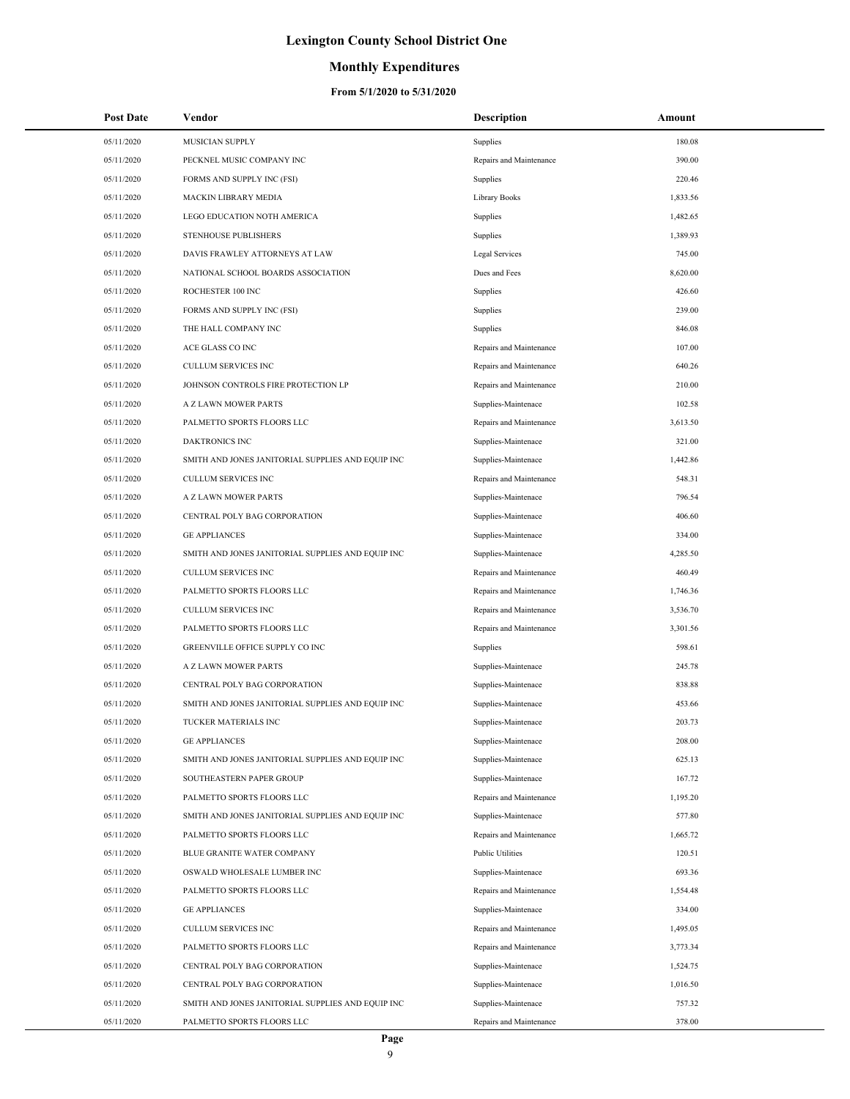## **Monthly Expenditures**

| <b>Post Date</b> | Vendor                                            | <b>Description</b>      | Amount   |
|------------------|---------------------------------------------------|-------------------------|----------|
| 05/11/2020       | MUSICIAN SUPPLY                                   | Supplies                | 180.08   |
| 05/11/2020       | PECKNEL MUSIC COMPANY INC                         | Repairs and Maintenance | 390.00   |
| 05/11/2020       | FORMS AND SUPPLY INC (FSI)                        | Supplies                | 220.46   |
| 05/11/2020       | MACKIN LIBRARY MEDIA                              | Library Books           | 1,833.56 |
| 05/11/2020       | LEGO EDUCATION NOTH AMERICA                       | Supplies                | 1,482.65 |
| 05/11/2020       | STENHOUSE PUBLISHERS                              | Supplies                | 1,389.93 |
| 05/11/2020       | DAVIS FRAWLEY ATTORNEYS AT LAW                    | Legal Services          | 745.00   |
| 05/11/2020       | NATIONAL SCHOOL BOARDS ASSOCIATION                | Dues and Fees           | 8,620.00 |
| 05/11/2020       | ROCHESTER 100 INC                                 | Supplies                | 426.60   |
| 05/11/2020       | FORMS AND SUPPLY INC (FSI)                        | Supplies                | 239.00   |
| 05/11/2020       | THE HALL COMPANY INC                              | Supplies                | 846.08   |
| 05/11/2020       | ACE GLASS CO INC                                  | Repairs and Maintenance | 107.00   |
| 05/11/2020       | CULLUM SERVICES INC                               | Repairs and Maintenance | 640.26   |
| 05/11/2020       | JOHNSON CONTROLS FIRE PROTECTION LP               | Repairs and Maintenance | 210.00   |
| 05/11/2020       | A Z LAWN MOWER PARTS                              | Supplies-Maintenace     | 102.58   |
| 05/11/2020       | PALMETTO SPORTS FLOORS LLC                        | Repairs and Maintenance | 3,613.50 |
| 05/11/2020       | <b>DAKTRONICS INC</b>                             | Supplies-Maintenace     | 321.00   |
| 05/11/2020       | SMITH AND JONES JANITORIAL SUPPLIES AND EQUIP INC | Supplies-Maintenace     | 1,442.86 |
| 05/11/2020       | <b>CULLUM SERVICES INC</b>                        | Repairs and Maintenance | 548.31   |
| 05/11/2020       | A Z LAWN MOWER PARTS                              | Supplies-Maintenace     | 796.54   |
| 05/11/2020       | CENTRAL POLY BAG CORPORATION                      | Supplies-Maintenace     | 406.60   |
| 05/11/2020       | <b>GE APPLIANCES</b>                              | Supplies-Maintenace     | 334.00   |
| 05/11/2020       | SMITH AND JONES JANITORIAL SUPPLIES AND EQUIP INC | Supplies-Maintenace     | 4,285.50 |
| 05/11/2020       | CULLUM SERVICES INC                               | Repairs and Maintenance | 460.49   |
| 05/11/2020       | PALMETTO SPORTS FLOORS LLC                        | Repairs and Maintenance | 1,746.36 |
| 05/11/2020       | CULLUM SERVICES INC                               | Repairs and Maintenance | 3,536.70 |
| 05/11/2020       | PALMETTO SPORTS FLOORS LLC                        | Repairs and Maintenance | 3,301.56 |
| 05/11/2020       | GREENVILLE OFFICE SUPPLY CO INC                   | Supplies                | 598.61   |
| 05/11/2020       | A Z LAWN MOWER PARTS                              | Supplies-Maintenace     | 245.78   |
| 05/11/2020       | CENTRAL POLY BAG CORPORATION                      | Supplies-Maintenace     | 838.88   |
| 05/11/2020       | SMITH AND JONES JANITORIAL SUPPLIES AND EQUIP INC | Supplies-Maintenace     | 453.66   |
| 05/11/2020       | TUCKER MATERIALS INC                              | Supplies-Maintenace     | 203.73   |
| 05/11/2020       | <b>GE APPLIANCES</b>                              | Supplies-Maintenace     | 208.00   |
| 05/11/2020       | SMITH AND JONES JANITORIAL SUPPLIES AND EQUIP INC | Supplies-Maintenace     | 625.13   |
| 05/11/2020       | SOUTHEASTERN PAPER GROUP                          | Supplies-Maintenace     | 167.72   |
| 05/11/2020       | PALMETTO SPORTS FLOORS LLC                        | Repairs and Maintenance | 1,195.20 |
| 05/11/2020       | SMITH AND JONES JANITORIAL SUPPLIES AND EQUIP INC | Supplies-Maintenace     | 577.80   |
| 05/11/2020       | PALMETTO SPORTS FLOORS LLC                        | Repairs and Maintenance | 1,665.72 |
| 05/11/2020       | BLUE GRANITE WATER COMPANY                        | <b>Public Utilities</b> | 120.51   |
| 05/11/2020       | OSWALD WHOLESALE LUMBER INC                       | Supplies-Maintenace     | 693.36   |
| 05/11/2020       | PALMETTO SPORTS FLOORS LLC                        | Repairs and Maintenance | 1,554.48 |
| 05/11/2020       | <b>GE APPLIANCES</b>                              | Supplies-Maintenace     | 334.00   |
| 05/11/2020       | <b>CULLUM SERVICES INC</b>                        | Repairs and Maintenance | 1,495.05 |
| 05/11/2020       | PALMETTO SPORTS FLOORS LLC                        | Repairs and Maintenance | 3,773.34 |
| 05/11/2020       | CENTRAL POLY BAG CORPORATION                      | Supplies-Maintenace     | 1,524.75 |
| 05/11/2020       | CENTRAL POLY BAG CORPORATION                      | Supplies-Maintenace     | 1,016.50 |
| 05/11/2020       | SMITH AND JONES JANITORIAL SUPPLIES AND EQUIP INC | Supplies-Maintenace     | 757.32   |
| 05/11/2020       | PALMETTO SPORTS FLOORS LLC                        | Repairs and Maintenance | 378.00   |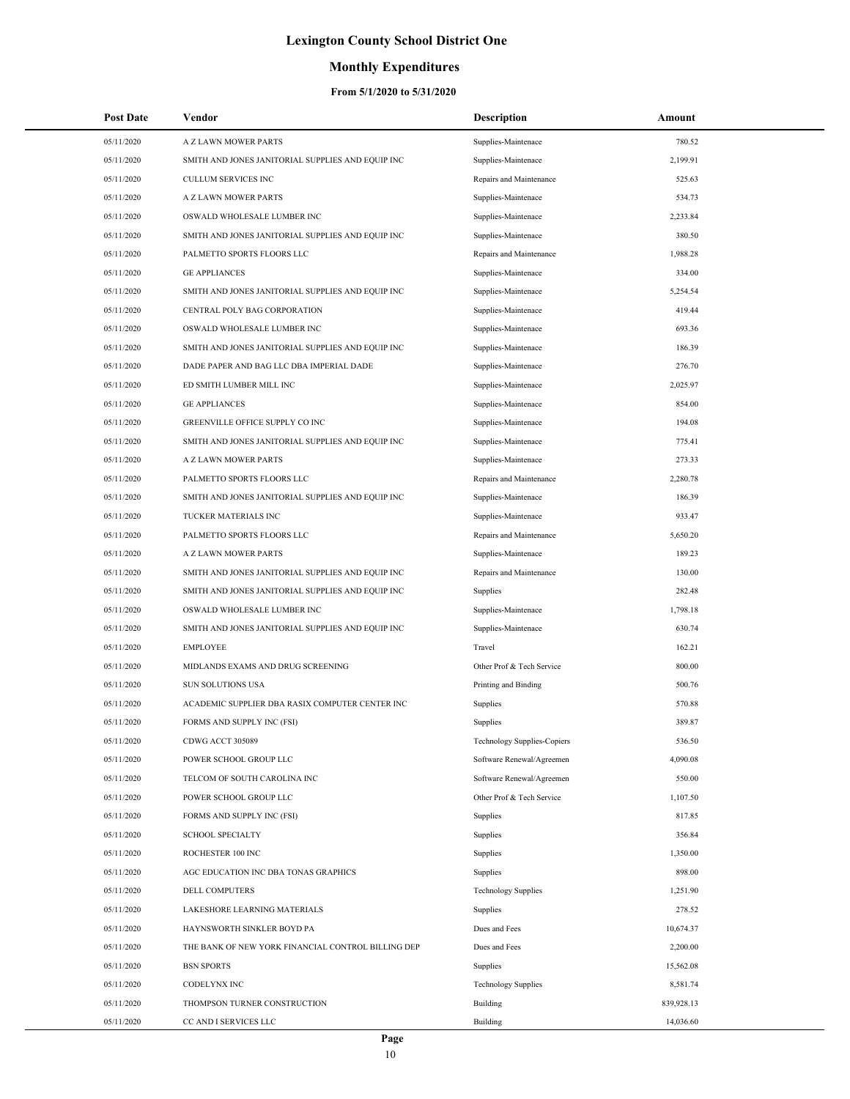### **Monthly Expenditures**

| <b>Post Date</b> | Vendor                                             | <b>Description</b>          | Amount     |
|------------------|----------------------------------------------------|-----------------------------|------------|
| 05/11/2020       | A Z LAWN MOWER PARTS                               | Supplies-Maintenace         | 780.52     |
| 05/11/2020       | SMITH AND JONES JANITORIAL SUPPLIES AND EQUIP INC  | Supplies-Maintenace         | 2,199.91   |
| 05/11/2020       | <b>CULLUM SERVICES INC</b>                         | Repairs and Maintenance     | 525.63     |
| 05/11/2020       | <b>A Z LAWN MOWER PARTS</b>                        | Supplies-Maintenace         | 534.73     |
| 05/11/2020       | OSWALD WHOLESALE LUMBER INC                        | Supplies-Maintenace         | 2,233.84   |
| 05/11/2020       | SMITH AND JONES JANITORIAL SUPPLIES AND EQUIP INC  | Supplies-Maintenace         | 380.50     |
| 05/11/2020       | PALMETTO SPORTS FLOORS LLC                         | Repairs and Maintenance     | 1,988.28   |
| 05/11/2020       | <b>GE APPLIANCES</b>                               | Supplies-Maintenace         | 334.00     |
| 05/11/2020       | SMITH AND JONES JANITORIAL SUPPLIES AND EQUIP INC  | Supplies-Maintenace         | 5,254.54   |
| 05/11/2020       | CENTRAL POLY BAG CORPORATION                       | Supplies-Maintenace         | 419.44     |
| 05/11/2020       | OSWALD WHOLESALE LUMBER INC                        | Supplies-Maintenace         | 693.36     |
| 05/11/2020       | SMITH AND JONES JANITORIAL SUPPLIES AND EQUIP INC  | Supplies-Maintenace         | 186.39     |
| 05/11/2020       | DADE PAPER AND BAG LLC DBA IMPERIAL DADE           | Supplies-Maintenace         | 276.70     |
| 05/11/2020       | ED SMITH LUMBER MILL INC                           | Supplies-Maintenace         | 2,025.97   |
| 05/11/2020       | <b>GE APPLIANCES</b>                               | Supplies-Maintenace         | 854.00     |
| 05/11/2020       | GREENVILLE OFFICE SUPPLY CO INC                    | Supplies-Maintenace         | 194.08     |
| 05/11/2020       | SMITH AND JONES JANITORIAL SUPPLIES AND EQUIP INC  | Supplies-Maintenace         | 775.41     |
| 05/11/2020       | A Z LAWN MOWER PARTS                               | Supplies-Maintenace         | 273.33     |
| 05/11/2020       | PALMETTO SPORTS FLOORS LLC                         | Repairs and Maintenance     | 2,280.78   |
| 05/11/2020       | SMITH AND JONES JANITORIAL SUPPLIES AND EQUIP INC  | Supplies-Maintenace         | 186.39     |
| 05/11/2020       | TUCKER MATERIALS INC                               | Supplies-Maintenace         | 933.47     |
| 05/11/2020       | PALMETTO SPORTS FLOORS LLC                         | Repairs and Maintenance     | 5,650.20   |
| 05/11/2020       | A Z LAWN MOWER PARTS                               | Supplies-Maintenace         | 189.23     |
| 05/11/2020       | SMITH AND JONES JANITORIAL SUPPLIES AND EQUIP INC  | Repairs and Maintenance     | 130.00     |
| 05/11/2020       | SMITH AND JONES JANITORIAL SUPPLIES AND EQUIP INC  | Supplies                    | 282.48     |
| 05/11/2020       | OSWALD WHOLESALE LUMBER INC                        | Supplies-Maintenace         | 1,798.18   |
| 05/11/2020       | SMITH AND JONES JANITORIAL SUPPLIES AND EQUIP INC  | Supplies-Maintenace         | 630.74     |
| 05/11/2020       | <b>EMPLOYEE</b>                                    | Travel                      | 162.21     |
| 05/11/2020       | MIDLANDS EXAMS AND DRUG SCREENING                  | Other Prof & Tech Service   | 800.00     |
| 05/11/2020       | SUN SOLUTIONS USA                                  | Printing and Binding        | 500.76     |
| 05/11/2020       | ACADEMIC SUPPLIER DBA RASIX COMPUTER CENTER INC    | Supplies                    | 570.88     |
| 05/11/2020       | FORMS AND SUPPLY INC (FSI)                         | Supplies                    | 389.87     |
| 05/11/2020       | CDWG ACCT 305089                                   | Technology Supplies-Copiers | 536.50     |
| 05/11/2020       | POWER SCHOOL GROUP LLC                             | Software Renewal/Agreemen   | 4,090.08   |
| 05/11/2020       | TELCOM OF SOUTH CAROLINA INC                       | Software Renewal/Agreemen   | 550.00     |
| 05/11/2020       | POWER SCHOOL GROUP LLC                             | Other Prof & Tech Service   | 1,107.50   |
| 05/11/2020       | FORMS AND SUPPLY INC (FSI)                         | Supplies                    | 817.85     |
| 05/11/2020       | <b>SCHOOL SPECIALTY</b>                            | Supplies                    | 356.84     |
| 05/11/2020       | ROCHESTER 100 INC                                  | Supplies                    | 1,350.00   |
| 05/11/2020       | AGC EDUCATION INC DBA TONAS GRAPHICS               | Supplies                    | 898.00     |
| 05/11/2020       | DELL COMPUTERS                                     | <b>Technology Supplies</b>  | 1,251.90   |
| 05/11/2020       | LAKESHORE LEARNING MATERIALS                       | Supplies                    | 278.52     |
| 05/11/2020       | HAYNSWORTH SINKLER BOYD PA                         | Dues and Fees               | 10,674.37  |
| 05/11/2020       | THE BANK OF NEW YORK FINANCIAL CONTROL BILLING DEP | Dues and Fees               | 2,200.00   |
| 05/11/2020       | <b>BSN SPORTS</b>                                  | Supplies                    | 15,562.08  |
| 05/11/2020       | CODELYNX INC                                       | <b>Technology Supplies</b>  | 8,581.74   |
| 05/11/2020       | THOMPSON TURNER CONSTRUCTION                       | <b>Building</b>             | 839,928.13 |
| 05/11/2020       | CC AND I SERVICES LLC                              | Building                    | 14,036.60  |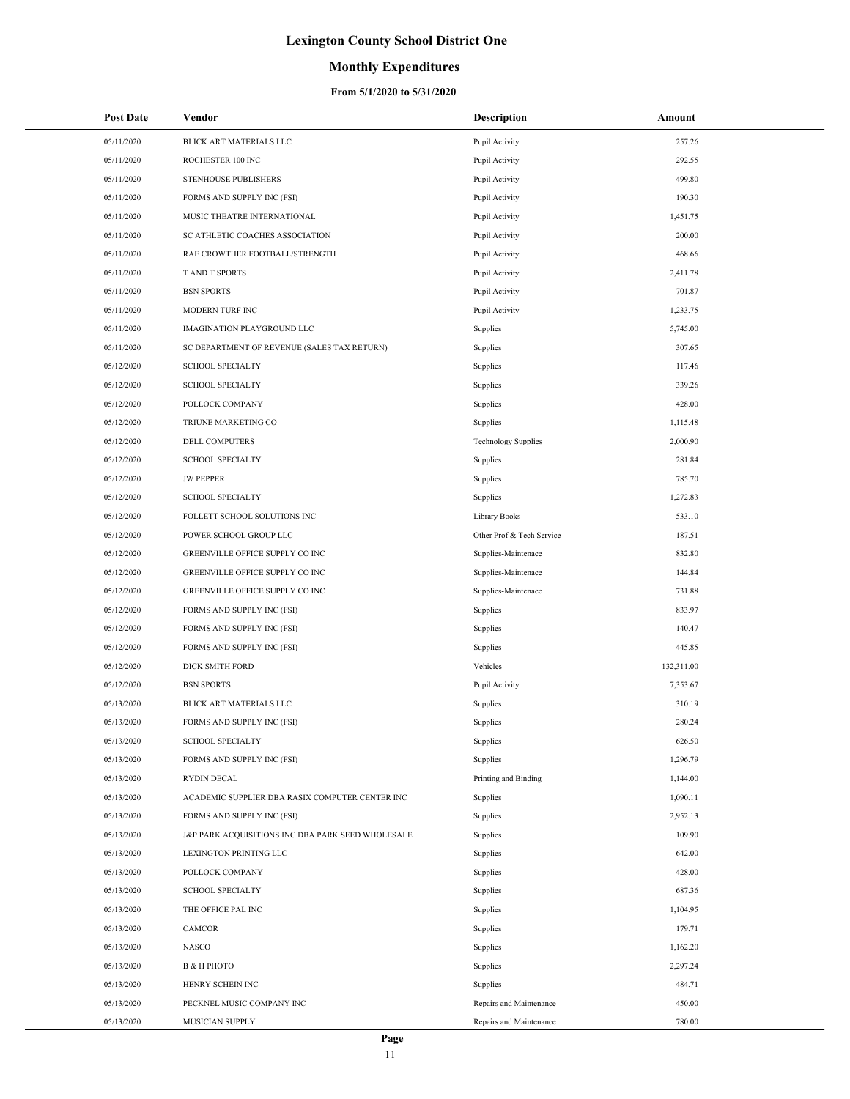### **Monthly Expenditures**

| <b>Post Date</b> | Vendor                                            | <b>Description</b>         | Amount     |
|------------------|---------------------------------------------------|----------------------------|------------|
| 05/11/2020       | BLICK ART MATERIALS LLC                           | Pupil Activity             | 257.26     |
| 05/11/2020       | ROCHESTER 100 INC                                 | Pupil Activity             | 292.55     |
| 05/11/2020       | STENHOUSE PUBLISHERS                              | Pupil Activity             | 499.80     |
| 05/11/2020       | FORMS AND SUPPLY INC (FSI)                        | Pupil Activity             | 190.30     |
| 05/11/2020       | MUSIC THEATRE INTERNATIONAL                       | Pupil Activity             | 1,451.75   |
| 05/11/2020       | SC ATHLETIC COACHES ASSOCIATION                   | Pupil Activity             | 200.00     |
| 05/11/2020       | RAE CROWTHER FOOTBALL/STRENGTH                    | Pupil Activity             | 468.66     |
| 05/11/2020       | <b>TAND T SPORTS</b>                              | Pupil Activity             | 2,411.78   |
| 05/11/2020       | <b>BSN SPORTS</b>                                 | Pupil Activity             | 701.87     |
| 05/11/2020       | MODERN TURF INC                                   | Pupil Activity             | 1,233.75   |
| 05/11/2020       | IMAGINATION PLAYGROUND LLC                        | Supplies                   | 5,745.00   |
| 05/11/2020       | SC DEPARTMENT OF REVENUE (SALES TAX RETURN)       | Supplies                   | 307.65     |
| 05/12/2020       | <b>SCHOOL SPECIALTY</b>                           | Supplies                   | 117.46     |
| 05/12/2020       | <b>SCHOOL SPECIALTY</b>                           | Supplies                   | 339.26     |
| 05/12/2020       | POLLOCK COMPANY                                   | Supplies                   | 428.00     |
| 05/12/2020       | TRIUNE MARKETING CO                               | Supplies                   | 1,115.48   |
| 05/12/2020       | DELL COMPUTERS                                    | <b>Technology Supplies</b> | 2,000.90   |
| 05/12/2020       | <b>SCHOOL SPECIALTY</b>                           | Supplies                   | 281.84     |
| 05/12/2020       | <b>JW PEPPER</b>                                  | Supplies                   | 785.70     |
| 05/12/2020       | <b>SCHOOL SPECIALTY</b>                           | Supplies                   | 1,272.83   |
| 05/12/2020       | FOLLETT SCHOOL SOLUTIONS INC                      | Library Books              | 533.10     |
| 05/12/2020       | POWER SCHOOL GROUP LLC                            | Other Prof & Tech Service  | 187.51     |
| 05/12/2020       | GREENVILLE OFFICE SUPPLY CO INC                   | Supplies-Maintenace        | 832.80     |
| 05/12/2020       | GREENVILLE OFFICE SUPPLY CO INC                   | Supplies-Maintenace        | 144.84     |
| 05/12/2020       | GREENVILLE OFFICE SUPPLY CO INC                   | Supplies-Maintenace        | 731.88     |
| 05/12/2020       | FORMS AND SUPPLY INC (FSI)                        | Supplies                   | 833.97     |
| 05/12/2020       | FORMS AND SUPPLY INC (FSI)                        | Supplies                   | 140.47     |
| 05/12/2020       | FORMS AND SUPPLY INC (FSI)                        | Supplies                   | 445.85     |
| 05/12/2020       | <b>DICK SMITH FORD</b>                            | Vehicles                   | 132,311.00 |
| 05/12/2020       | <b>BSN SPORTS</b>                                 | Pupil Activity             | 7,353.67   |
| 05/13/2020       | BLICK ART MATERIALS LLC                           | Supplies                   | 310.19     |
| 05/13/2020       | FORMS AND SUPPLY INC (FSI)                        | Supplies                   | 280.24     |
| 05/13/2020       | <b>SCHOOL SPECIALTY</b>                           | Supplies                   | 626.50     |
| 05/13/2020       | FORMS AND SUPPLY INC (FSI)                        | Supplies                   | 1,296.79   |
| 05/13/2020       | <b>RYDIN DECAL</b>                                | Printing and Binding       | 1,144.00   |
| 05/13/2020       | ACADEMIC SUPPLIER DBA RASIX COMPUTER CENTER INC   | Supplies                   | 1,090.11   |
| 05/13/2020       | FORMS AND SUPPLY INC (FSI)                        | Supplies                   | 2,952.13   |
| 05/13/2020       | J&P PARK ACQUISITIONS INC DBA PARK SEED WHOLESALE | Supplies                   | 109.90     |
| 05/13/2020       | LEXINGTON PRINTING LLC                            | Supplies                   | 642.00     |
| 05/13/2020       | POLLOCK COMPANY                                   | Supplies                   | 428.00     |
| 05/13/2020       | <b>SCHOOL SPECIALTY</b>                           | Supplies                   | 687.36     |
| 05/13/2020       | THE OFFICE PAL INC                                | Supplies                   | 1,104.95   |
| 05/13/2020       | CAMCOR                                            | Supplies                   | 179.71     |
| 05/13/2020       | NASCO                                             | Supplies                   | 1,162.20   |
| 05/13/2020       | В & Н РНОТО                                       | Supplies                   | 2,297.24   |
| 05/13/2020       | HENRY SCHEIN INC                                  | Supplies                   | 484.71     |
| 05/13/2020       | PECKNEL MUSIC COMPANY INC                         | Repairs and Maintenance    | 450.00     |
| 05/13/2020       | MUSICIAN SUPPLY                                   | Repairs and Maintenance    | 780.00     |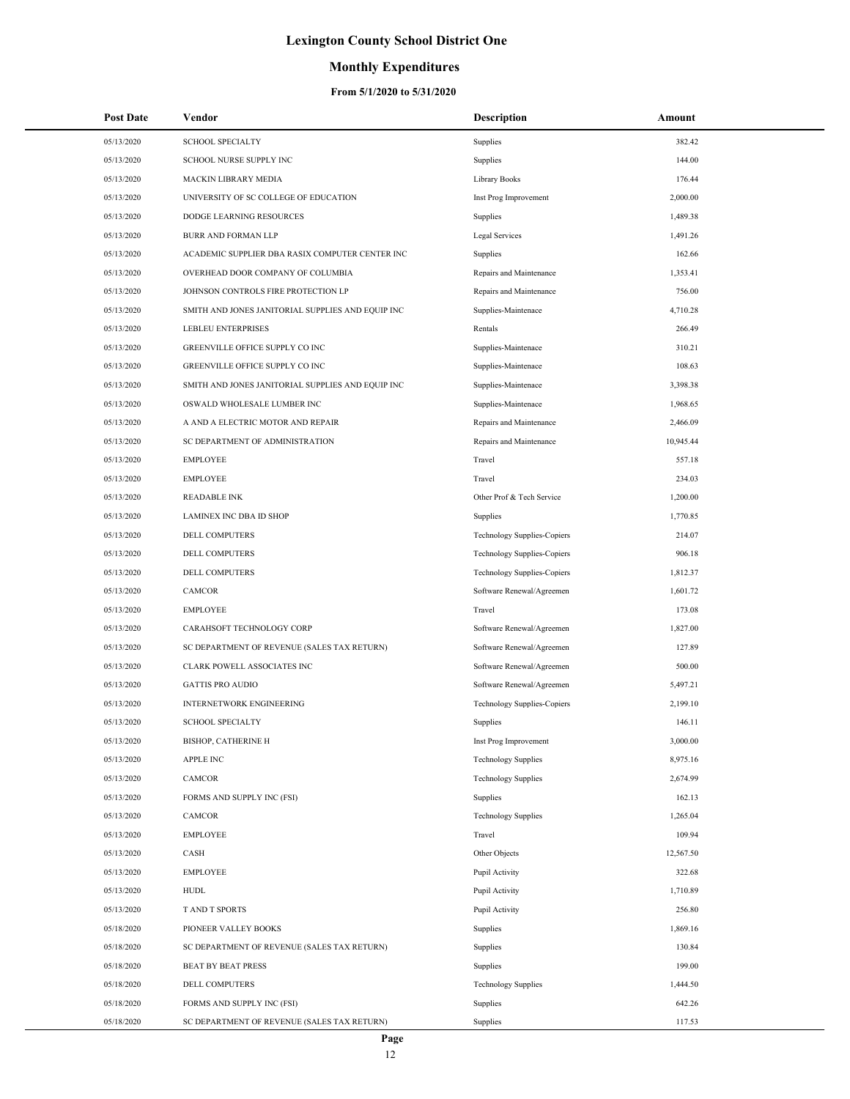### **Monthly Expenditures**

| Post Date  | Vendor                                            | Description                        | Amount    |
|------------|---------------------------------------------------|------------------------------------|-----------|
| 05/13/2020 | <b>SCHOOL SPECIALTY</b>                           | Supplies                           | 382.42    |
| 05/13/2020 | SCHOOL NURSE SUPPLY INC                           | Supplies                           | 144.00    |
| 05/13/2020 | <b>MACKIN LIBRARY MEDIA</b>                       | Library Books                      | 176.44    |
| 05/13/2020 | UNIVERSITY OF SC COLLEGE OF EDUCATION             | Inst Prog Improvement              | 2,000.00  |
| 05/13/2020 | DODGE LEARNING RESOURCES                          | Supplies                           | 1,489.38  |
| 05/13/2020 | BURR AND FORMAN LLP                               | Legal Services                     | 1,491.26  |
| 05/13/2020 | ACADEMIC SUPPLIER DBA RASIX COMPUTER CENTER INC   | Supplies                           | 162.66    |
| 05/13/2020 | OVERHEAD DOOR COMPANY OF COLUMBIA                 | Repairs and Maintenance            | 1,353.41  |
| 05/13/2020 | JOHNSON CONTROLS FIRE PROTECTION LP               | Repairs and Maintenance            | 756.00    |
| 05/13/2020 | SMITH AND JONES JANITORIAL SUPPLIES AND EQUIP INC | Supplies-Maintenace                | 4,710.28  |
| 05/13/2020 | <b>LEBLEU ENTERPRISES</b>                         | Rentals                            | 266.49    |
| 05/13/2020 | GREENVILLE OFFICE SUPPLY CO INC                   | Supplies-Maintenace                | 310.21    |
| 05/13/2020 | GREENVILLE OFFICE SUPPLY CO INC                   | Supplies-Maintenace                | 108.63    |
| 05/13/2020 | SMITH AND JONES JANITORIAL SUPPLIES AND EQUIP INC | Supplies-Maintenace                | 3,398.38  |
| 05/13/2020 | OSWALD WHOLESALE LUMBER INC                       | Supplies-Maintenace                | 1,968.65  |
| 05/13/2020 | A AND A ELECTRIC MOTOR AND REPAIR                 | Repairs and Maintenance            | 2,466.09  |
| 05/13/2020 | SC DEPARTMENT OF ADMINISTRATION                   | Repairs and Maintenance            | 10,945.44 |
| 05/13/2020 | <b>EMPLOYEE</b>                                   | Travel                             | 557.18    |
| 05/13/2020 | <b>EMPLOYEE</b>                                   | Travel                             | 234.03    |
| 05/13/2020 | <b>READABLE INK</b>                               | Other Prof & Tech Service          | 1,200.00  |
| 05/13/2020 | LAMINEX INC DBA ID SHOP                           | Supplies                           | 1,770.85  |
| 05/13/2020 | DELL COMPUTERS                                    | <b>Technology Supplies-Copiers</b> | 214.07    |
| 05/13/2020 | DELL COMPUTERS                                    | <b>Technology Supplies-Copiers</b> | 906.18    |
| 05/13/2020 | <b>DELL COMPUTERS</b>                             | Technology Supplies-Copiers        | 1,812.37  |
| 05/13/2020 | CAMCOR                                            | Software Renewal/Agreemen          | 1,601.72  |
| 05/13/2020 | <b>EMPLOYEE</b>                                   | Travel                             | 173.08    |
| 05/13/2020 | CARAHSOFT TECHNOLOGY CORP                         | Software Renewal/Agreemen          | 1,827.00  |
| 05/13/2020 | SC DEPARTMENT OF REVENUE (SALES TAX RETURN)       | Software Renewal/Agreemen          | 127.89    |
| 05/13/2020 | CLARK POWELL ASSOCIATES INC                       | Software Renewal/Agreemen          | 500.00    |
| 05/13/2020 | <b>GATTIS PRO AUDIO</b>                           | Software Renewal/Agreemen          | 5,497.21  |
| 05/13/2020 | <b>INTERNETWORK ENGINEERING</b>                   | <b>Technology Supplies-Copiers</b> | 2,199.10  |
| 05/13/2020 | <b>SCHOOL SPECIALTY</b>                           | Supplies                           | 146.11    |
| 05/13/2020 | BISHOP, CATHERINE H                               | Inst Prog Improvement              | 3,000.00  |
| 05/13/2020 | <b>APPLE INC</b>                                  | <b>Technology Supplies</b>         | 8,975.16  |
| 05/13/2020 | CAMCOR                                            | <b>Technology Supplies</b>         | 2,674.99  |
| 05/13/2020 | FORMS AND SUPPLY INC (FSI)                        | Supplies                           | 162.13    |
| 05/13/2020 | CAMCOR                                            | <b>Technology Supplies</b>         | 1,265.04  |
| 05/13/2020 | <b>EMPLOYEE</b>                                   | Travel                             | 109.94    |
| 05/13/2020 | CASH                                              | Other Objects                      | 12,567.50 |
| 05/13/2020 | <b>EMPLOYEE</b>                                   | Pupil Activity                     | 322.68    |
| 05/13/2020 | <b>HUDL</b>                                       | Pupil Activity                     | 1,710.89  |
| 05/13/2020 | T AND T SPORTS                                    | Pupil Activity                     | 256.80    |
| 05/18/2020 | PIONEER VALLEY BOOKS                              | Supplies                           | 1,869.16  |
| 05/18/2020 | SC DEPARTMENT OF REVENUE (SALES TAX RETURN)       | Supplies                           | 130.84    |
| 05/18/2020 | <b>BEAT BY BEAT PRESS</b>                         | Supplies                           | 199.00    |
| 05/18/2020 | DELL COMPUTERS                                    | <b>Technology Supplies</b>         | 1,444.50  |
| 05/18/2020 | FORMS AND SUPPLY INC (FSI)                        | Supplies                           | 642.26    |
| 05/18/2020 | SC DEPARTMENT OF REVENUE (SALES TAX RETURN)       | Supplies                           | 117.53    |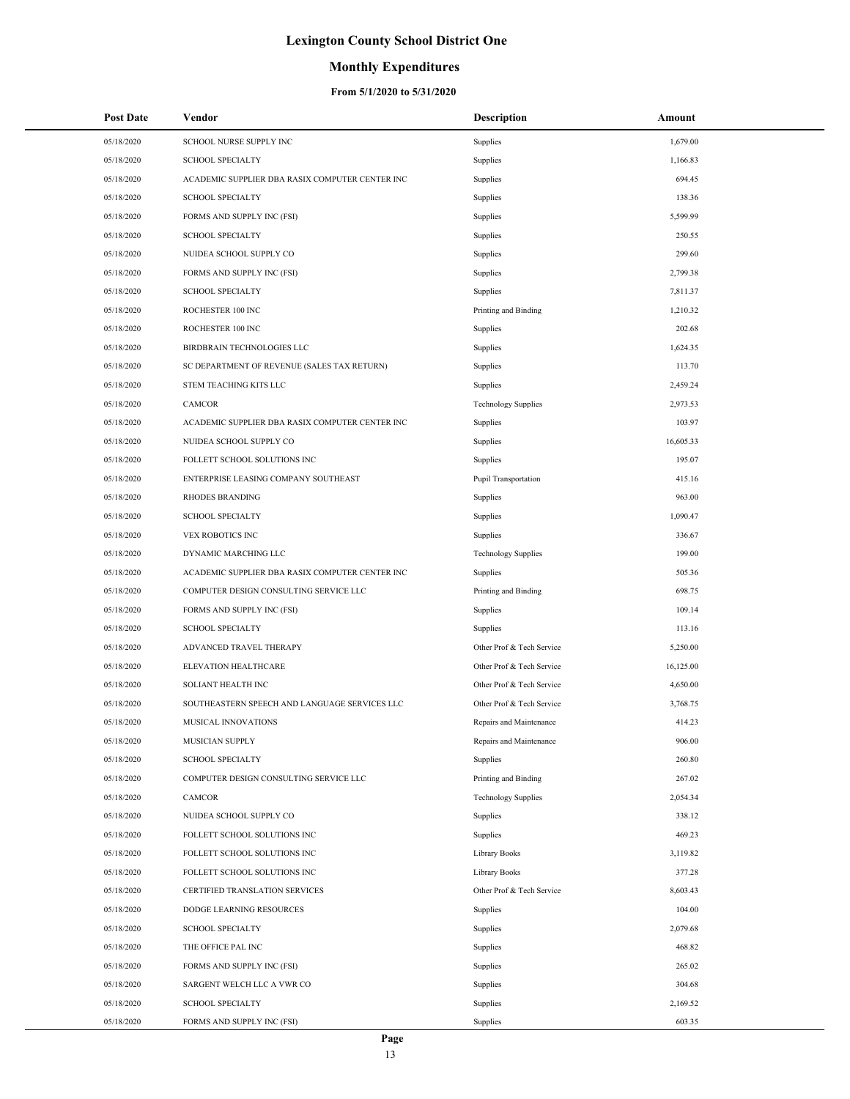### **Monthly Expenditures**

| <b>Post Date</b> | Vendor                                          | Description                 | Amount    |
|------------------|-------------------------------------------------|-----------------------------|-----------|
| 05/18/2020       | SCHOOL NURSE SUPPLY INC                         | Supplies                    | 1,679.00  |
| 05/18/2020       | <b>SCHOOL SPECIALTY</b>                         | Supplies                    | 1,166.83  |
| 05/18/2020       | ACADEMIC SUPPLIER DBA RASIX COMPUTER CENTER INC | Supplies                    | 694.45    |
| 05/18/2020       | <b>SCHOOL SPECIALTY</b>                         | Supplies                    | 138.36    |
| 05/18/2020       | FORMS AND SUPPLY INC (FSI)                      | Supplies                    | 5,599.99  |
| 05/18/2020       | <b>SCHOOL SPECIALTY</b>                         | Supplies                    | 250.55    |
| 05/18/2020       | NUIDEA SCHOOL SUPPLY CO                         | Supplies                    | 299.60    |
| 05/18/2020       | FORMS AND SUPPLY INC (FSI)                      | Supplies                    | 2,799.38  |
| 05/18/2020       | <b>SCHOOL SPECIALTY</b>                         | Supplies                    | 7,811.37  |
| 05/18/2020       | ROCHESTER 100 INC                               | Printing and Binding        | 1,210.32  |
| 05/18/2020       | ROCHESTER 100 INC                               | Supplies                    | 202.68    |
| 05/18/2020       | BIRDBRAIN TECHNOLOGIES LLC                      | Supplies                    | 1,624.35  |
| 05/18/2020       | SC DEPARTMENT OF REVENUE (SALES TAX RETURN)     | Supplies                    | 113.70    |
| 05/18/2020       | STEM TEACHING KITS LLC                          | Supplies                    | 2,459.24  |
| 05/18/2020       | CAMCOR                                          | <b>Technology Supplies</b>  | 2,973.53  |
| 05/18/2020       | ACADEMIC SUPPLIER DBA RASIX COMPUTER CENTER INC | Supplies                    | 103.97    |
| 05/18/2020       | NUIDEA SCHOOL SUPPLY CO                         | Supplies                    | 16,605.33 |
| 05/18/2020       | FOLLETT SCHOOL SOLUTIONS INC                    | Supplies                    | 195.07    |
| 05/18/2020       | ENTERPRISE LEASING COMPANY SOUTHEAST            | <b>Pupil Transportation</b> | 415.16    |
| 05/18/2020       | <b>RHODES BRANDING</b>                          | Supplies                    | 963.00    |
| 05/18/2020       | <b>SCHOOL SPECIALTY</b>                         | Supplies                    | 1,090.47  |
| 05/18/2020       | VEX ROBOTICS INC                                | Supplies                    | 336.67    |
| 05/18/2020       | DYNAMIC MARCHING LLC                            | <b>Technology Supplies</b>  | 199.00    |
| 05/18/2020       | ACADEMIC SUPPLIER DBA RASIX COMPUTER CENTER INC | Supplies                    | 505.36    |
| 05/18/2020       | COMPUTER DESIGN CONSULTING SERVICE LLC          | Printing and Binding        | 698.75    |
| 05/18/2020       | FORMS AND SUPPLY INC (FSI)                      | Supplies                    | 109.14    |
| 05/18/2020       | <b>SCHOOL SPECIALTY</b>                         | Supplies                    | 113.16    |
| 05/18/2020       | ADVANCED TRAVEL THERAPY                         | Other Prof & Tech Service   | 5,250.00  |
| 05/18/2020       | ELEVATION HEALTHCARE                            | Other Prof & Tech Service   | 16,125.00 |
| 05/18/2020       | <b>SOLIANT HEALTH INC</b>                       | Other Prof & Tech Service   | 4,650.00  |
| 05/18/2020       | SOUTHEASTERN SPEECH AND LANGUAGE SERVICES LLC   | Other Prof & Tech Service   | 3,768.75  |
| 05/18/2020       | <b>MUSICAL INNOVATIONS</b>                      | Repairs and Maintenance     | 414.23    |
| 05/18/2020       | <b>MUSICIAN SUPPLY</b>                          | Repairs and Maintenance     | 906.00    |
| 05/18/2020       | <b>SCHOOL SPECIALTY</b>                         | Supplies                    | 260.80    |
| 05/18/2020       | COMPUTER DESIGN CONSULTING SERVICE LLC          | Printing and Binding        | 267.02    |
| 05/18/2020       | <b>CAMCOR</b>                                   | <b>Technology Supplies</b>  | 2,054.34  |
| 05/18/2020       | NUIDEA SCHOOL SUPPLY CO                         | Supplies                    | 338.12    |
| 05/18/2020       | FOLLETT SCHOOL SOLUTIONS INC                    | Supplies                    | 469.23    |
| 05/18/2020       | FOLLETT SCHOOL SOLUTIONS INC                    | Library Books               | 3,119.82  |
| 05/18/2020       | FOLLETT SCHOOL SOLUTIONS INC                    | Library Books               | 377.28    |
| 05/18/2020       | CERTIFIED TRANSLATION SERVICES                  | Other Prof & Tech Service   | 8,603.43  |
| 05/18/2020       | DODGE LEARNING RESOURCES                        | Supplies                    | 104.00    |
| 05/18/2020       | <b>SCHOOL SPECIALTY</b>                         | Supplies                    | 2,079.68  |
| 05/18/2020       | THE OFFICE PAL INC                              | Supplies                    | 468.82    |
| 05/18/2020       | FORMS AND SUPPLY INC (FSI)                      | Supplies                    | 265.02    |
| 05/18/2020       | SARGENT WELCH LLC A VWR CO                      | Supplies                    | 304.68    |
| 05/18/2020       | <b>SCHOOL SPECIALTY</b>                         | Supplies                    | 2,169.52  |
| 05/18/2020       | FORMS AND SUPPLY INC (FSI)                      | Supplies                    | 603.35    |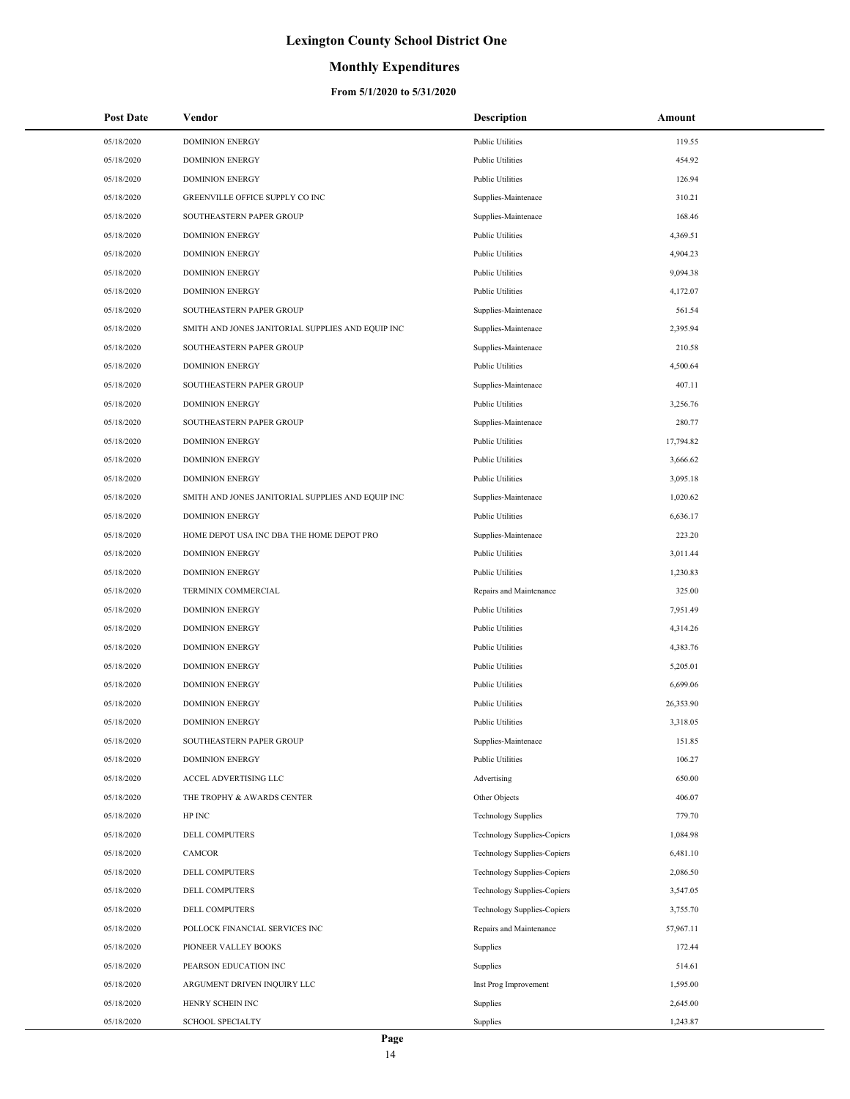## **Monthly Expenditures**

| <b>Post Date</b> | Vendor                                            | <b>Description</b>                 | Amount    |
|------------------|---------------------------------------------------|------------------------------------|-----------|
| 05/18/2020       | <b>DOMINION ENERGY</b>                            | <b>Public Utilities</b>            | 119.55    |
| 05/18/2020       | <b>DOMINION ENERGY</b>                            | <b>Public Utilities</b>            | 454.92    |
| 05/18/2020       | <b>DOMINION ENERGY</b>                            | <b>Public Utilities</b>            | 126.94    |
| 05/18/2020       | GREENVILLE OFFICE SUPPLY CO INC                   | Supplies-Maintenace                | 310.21    |
| 05/18/2020       | SOUTHEASTERN PAPER GROUP                          | Supplies-Maintenace                | 168.46    |
| 05/18/2020       | <b>DOMINION ENERGY</b>                            | <b>Public Utilities</b>            | 4,369.51  |
| 05/18/2020       | <b>DOMINION ENERGY</b>                            | <b>Public Utilities</b>            | 4,904.23  |
| 05/18/2020       | <b>DOMINION ENERGY</b>                            | <b>Public Utilities</b>            | 9,094.38  |
| 05/18/2020       | <b>DOMINION ENERGY</b>                            | <b>Public Utilities</b>            | 4,172.07  |
| 05/18/2020       | SOUTHEASTERN PAPER GROUP                          | Supplies-Maintenace                | 561.54    |
| 05/18/2020       | SMITH AND JONES JANITORIAL SUPPLIES AND EQUIP INC | Supplies-Maintenace                | 2,395.94  |
| 05/18/2020       | SOUTHEASTERN PAPER GROUP                          | Supplies-Maintenace                | 210.58    |
| 05/18/2020       | <b>DOMINION ENERGY</b>                            | <b>Public Utilities</b>            | 4,500.64  |
| 05/18/2020       | SOUTHEASTERN PAPER GROUP                          | Supplies-Maintenace                | 407.11    |
| 05/18/2020       | <b>DOMINION ENERGY</b>                            | <b>Public Utilities</b>            | 3,256.76  |
| 05/18/2020       | SOUTHEASTERN PAPER GROUP                          | Supplies-Maintenace                | 280.77    |
| 05/18/2020       | <b>DOMINION ENERGY</b>                            | <b>Public Utilities</b>            | 17,794.82 |
| 05/18/2020       | <b>DOMINION ENERGY</b>                            | <b>Public Utilities</b>            | 3,666.62  |
| 05/18/2020       | <b>DOMINION ENERGY</b>                            | <b>Public Utilities</b>            | 3,095.18  |
| 05/18/2020       | SMITH AND JONES JANITORIAL SUPPLIES AND EQUIP INC | Supplies-Maintenace                | 1,020.62  |
| 05/18/2020       | <b>DOMINION ENERGY</b>                            | <b>Public Utilities</b>            | 6,636.17  |
| 05/18/2020       | HOME DEPOT USA INC DBA THE HOME DEPOT PRO         | Supplies-Maintenace                | 223.20    |
| 05/18/2020       | <b>DOMINION ENERGY</b>                            | <b>Public Utilities</b>            | 3,011.44  |
| 05/18/2020       | <b>DOMINION ENERGY</b>                            | <b>Public Utilities</b>            | 1,230.83  |
| 05/18/2020       | TERMINIX COMMERCIAL                               | Repairs and Maintenance            | 325.00    |
| 05/18/2020       | <b>DOMINION ENERGY</b>                            | <b>Public Utilities</b>            | 7,951.49  |
| 05/18/2020       | <b>DOMINION ENERGY</b>                            | <b>Public Utilities</b>            | 4,314.26  |
| 05/18/2020       | <b>DOMINION ENERGY</b>                            | <b>Public Utilities</b>            | 4,383.76  |
| 05/18/2020       | <b>DOMINION ENERGY</b>                            | <b>Public Utilities</b>            | 5,205.01  |
| 05/18/2020       | <b>DOMINION ENERGY</b>                            | <b>Public Utilities</b>            | 6,699.06  |
| 05/18/2020       | <b>DOMINION ENERGY</b>                            | <b>Public Utilities</b>            | 26,353.90 |
| 05/18/2020       | <b>DOMINION ENERGY</b>                            | <b>Public Utilities</b>            | 3,318.05  |
| 05/18/2020       | SOUTHEASTERN PAPER GROUP                          | Supplies-Maintenace                | 151.85    |
| 05/18/2020       | <b>DOMINION ENERGY</b>                            | <b>Public Utilities</b>            | 106.27    |
| 05/18/2020       | ACCEL ADVERTISING LLC                             | Advertising                        | 650.00    |
| 05/18/2020       | THE TROPHY & AWARDS CENTER                        | Other Objects                      | 406.07    |
| 05/18/2020       | HP INC                                            | <b>Technology Supplies</b>         | 779.70    |
| 05/18/2020       | DELL COMPUTERS                                    | <b>Technology Supplies-Copiers</b> | 1,084.98  |
| 05/18/2020       | CAMCOR                                            | <b>Technology Supplies-Copiers</b> | 6,481.10  |
| 05/18/2020       | DELL COMPUTERS                                    | <b>Technology Supplies-Copiers</b> | 2,086.50  |
| 05/18/2020       | <b>DELL COMPUTERS</b>                             | Technology Supplies-Copiers        | 3,547.05  |
| 05/18/2020       | DELL COMPUTERS                                    | <b>Technology Supplies-Copiers</b> | 3,755.70  |
| 05/18/2020       | POLLOCK FINANCIAL SERVICES INC                    | Repairs and Maintenance            | 57,967.11 |
| 05/18/2020       | PIONEER VALLEY BOOKS                              | Supplies                           | 172.44    |
| 05/18/2020       | PEARSON EDUCATION INC                             | Supplies                           | 514.61    |
| 05/18/2020       | ARGUMENT DRIVEN INQUIRY LLC                       | Inst Prog Improvement              | 1,595.00  |
| 05/18/2020       | HENRY SCHEIN INC                                  | Supplies                           | 2,645.00  |
| 05/18/2020       | <b>SCHOOL SPECIALTY</b>                           | Supplies                           | 1,243.87  |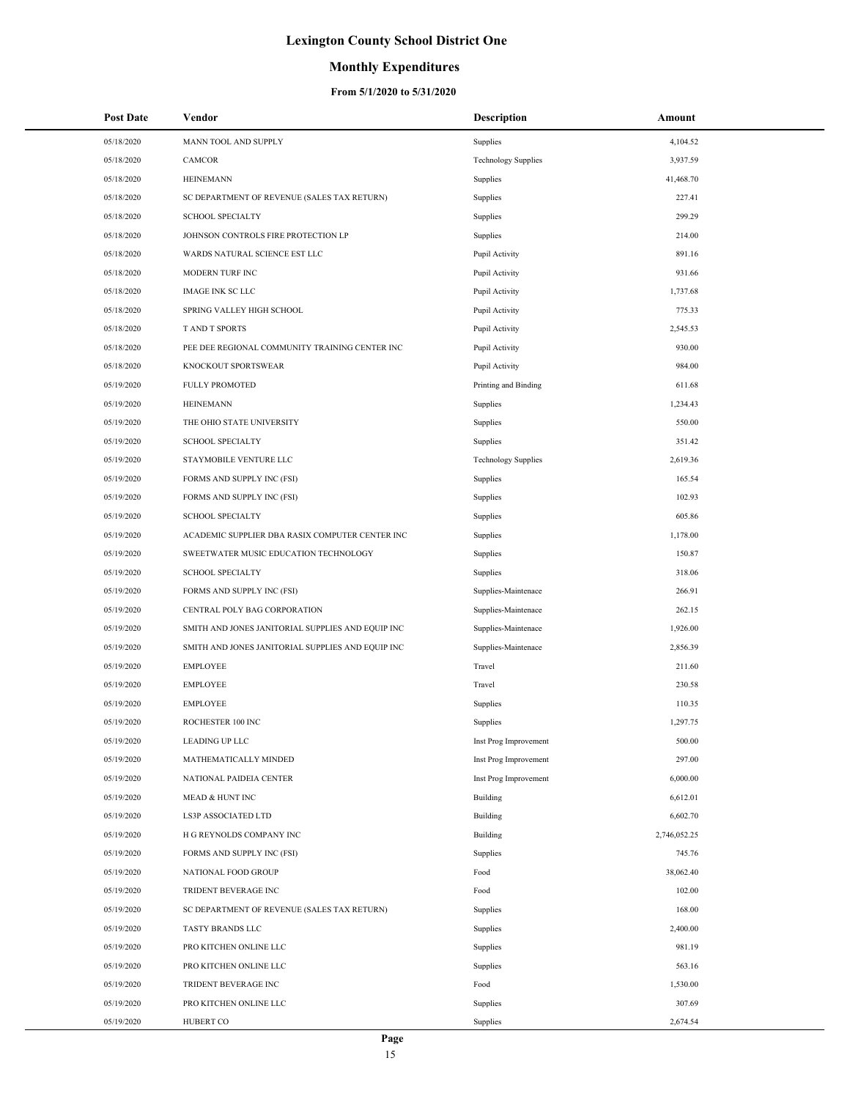## **Monthly Expenditures**

| <b>Post Date</b> | Vendor                                            | <b>Description</b>         | Amount       |
|------------------|---------------------------------------------------|----------------------------|--------------|
| 05/18/2020       | MANN TOOL AND SUPPLY                              | Supplies                   | 4,104.52     |
| 05/18/2020       | CAMCOR                                            | <b>Technology Supplies</b> | 3,937.59     |
| 05/18/2020       | <b>HEINEMANN</b>                                  | Supplies                   | 41,468.70    |
| 05/18/2020       | SC DEPARTMENT OF REVENUE (SALES TAX RETURN)       | Supplies                   | 227.41       |
| 05/18/2020       | <b>SCHOOL SPECIALTY</b>                           | Supplies                   | 299.29       |
| 05/18/2020       | JOHNSON CONTROLS FIRE PROTECTION LP               | Supplies                   | 214.00       |
| 05/18/2020       | WARDS NATURAL SCIENCE EST LLC                     | Pupil Activity             | 891.16       |
| 05/18/2020       | MODERN TURF INC                                   | Pupil Activity             | 931.66       |
| 05/18/2020       | <b>IMAGE INK SC LLC</b>                           | Pupil Activity             | 1,737.68     |
| 05/18/2020       | SPRING VALLEY HIGH SCHOOL                         | Pupil Activity             | 775.33       |
| 05/18/2020       | T AND T SPORTS                                    | Pupil Activity             | 2,545.53     |
| 05/18/2020       | PEE DEE REGIONAL COMMUNITY TRAINING CENTER INC    | Pupil Activity             | 930.00       |
| 05/18/2020       | KNOCKOUT SPORTSWEAR                               | Pupil Activity             | 984.00       |
| 05/19/2020       | <b>FULLY PROMOTED</b>                             | Printing and Binding       | 611.68       |
| 05/19/2020       | <b>HEINEMANN</b>                                  | Supplies                   | 1,234.43     |
| 05/19/2020       | THE OHIO STATE UNIVERSITY                         | Supplies                   | 550.00       |
| 05/19/2020       | <b>SCHOOL SPECIALTY</b>                           | Supplies                   | 351.42       |
| 05/19/2020       | STAYMOBILE VENTURE LLC                            | <b>Technology Supplies</b> | 2,619.36     |
| 05/19/2020       | FORMS AND SUPPLY INC (FSI)                        | Supplies                   | 165.54       |
| 05/19/2020       | FORMS AND SUPPLY INC (FSI)                        | Supplies                   | 102.93       |
| 05/19/2020       | <b>SCHOOL SPECIALTY</b>                           | Supplies                   | 605.86       |
| 05/19/2020       | ACADEMIC SUPPLIER DBA RASIX COMPUTER CENTER INC   | Supplies                   | 1,178.00     |
| 05/19/2020       | SWEETWATER MUSIC EDUCATION TECHNOLOGY             | Supplies                   | 150.87       |
| 05/19/2020       | <b>SCHOOL SPECIALTY</b>                           | Supplies                   | 318.06       |
| 05/19/2020       | FORMS AND SUPPLY INC (FSI)                        | Supplies-Maintenace        | 266.91       |
| 05/19/2020       | CENTRAL POLY BAG CORPORATION                      | Supplies-Maintenace        | 262.15       |
| 05/19/2020       | SMITH AND JONES JANITORIAL SUPPLIES AND EQUIP INC | Supplies-Maintenace        | 1,926.00     |
| 05/19/2020       | SMITH AND JONES JANITORIAL SUPPLIES AND EQUIP INC | Supplies-Maintenace        | 2,856.39     |
| 05/19/2020       | <b>EMPLOYEE</b>                                   | Travel                     | 211.60       |
| 05/19/2020       | <b>EMPLOYEE</b>                                   | Travel                     | 230.58       |
| 05/19/2020       | <b>EMPLOYEE</b>                                   | Supplies                   | 110.35       |
| 05/19/2020       | ROCHESTER 100 INC                                 | Supplies                   | 1,297.75     |
| 05/19/2020       | LEADING UP LLC                                    | Inst Prog Improvement      | 500.00       |
| 05/19/2020       | MATHEMATICALLY MINDED                             | Inst Prog Improvement      | 297.00       |
| 05/19/2020       | NATIONAL PAIDEIA CENTER                           | Inst Prog Improvement      | 6,000.00     |
| 05/19/2020       | <b>MEAD &amp; HUNT INC</b>                        | Building                   | 6,612.01     |
| 05/19/2020       | LS3P ASSOCIATED LTD                               | Building                   | 6,602.70     |
| 05/19/2020       | H G REYNOLDS COMPANY INC                          | Building                   | 2,746,052.25 |
| 05/19/2020       | FORMS AND SUPPLY INC (FSI)                        | Supplies                   | 745.76       |
| 05/19/2020       | NATIONAL FOOD GROUP                               | Food                       | 38,062.40    |
| 05/19/2020       | TRIDENT BEVERAGE INC                              | Food                       | 102.00       |
| 05/19/2020       | SC DEPARTMENT OF REVENUE (SALES TAX RETURN)       | Supplies                   | 168.00       |
| 05/19/2020       | TASTY BRANDS LLC                                  | Supplies                   | 2,400.00     |
| 05/19/2020       | PRO KITCHEN ONLINE LLC                            | Supplies                   | 981.19       |
| 05/19/2020       | PRO KITCHEN ONLINE LLC                            | Supplies                   | 563.16       |
| 05/19/2020       | TRIDENT BEVERAGE INC                              | Food                       | 1,530.00     |
| 05/19/2020       | PRO KITCHEN ONLINE LLC                            | Supplies                   | 307.69       |
| 05/19/2020       | <b>HUBERT CO</b>                                  | Supplies                   | 2,674.54     |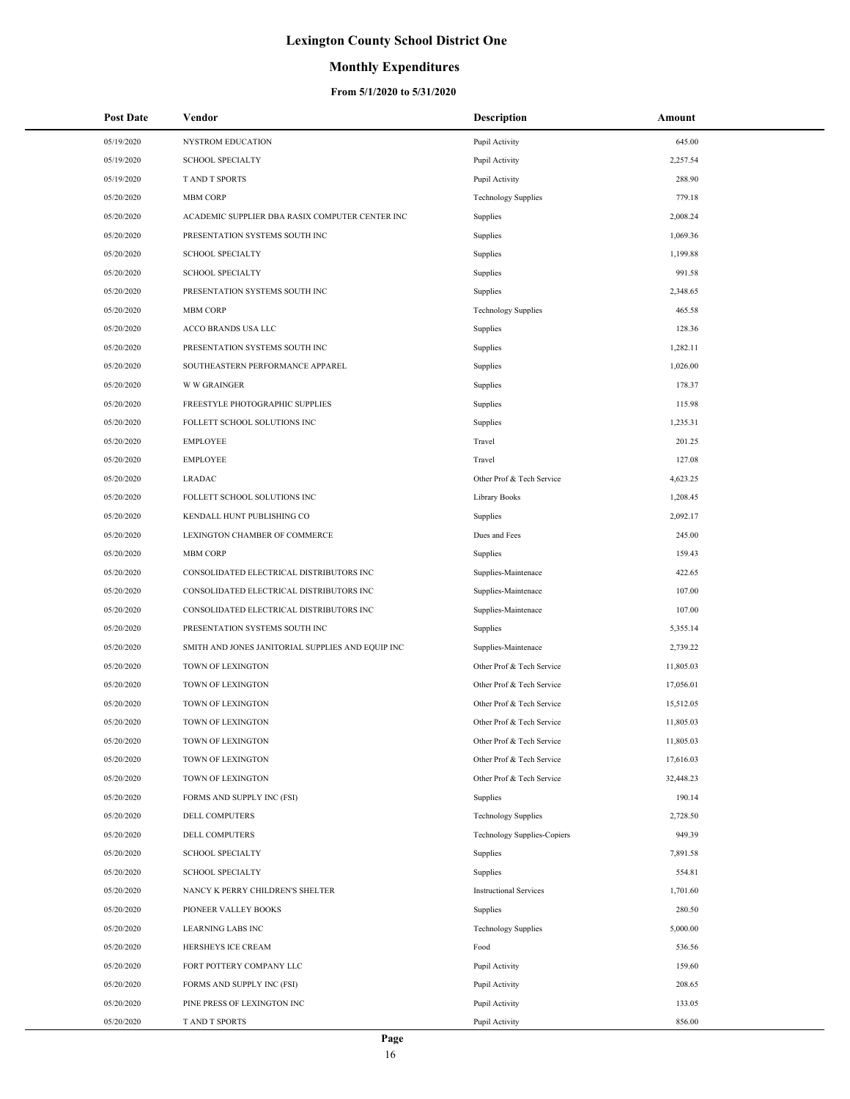## **Monthly Expenditures**

| <b>Post Date</b> | Vendor                                            | <b>Description</b>                 | Amount    |
|------------------|---------------------------------------------------|------------------------------------|-----------|
| 05/19/2020       | <b>NYSTROM EDUCATION</b>                          | Pupil Activity                     | 645.00    |
| 05/19/2020       | <b>SCHOOL SPECIALTY</b>                           | Pupil Activity                     | 2,257.54  |
| 05/19/2020       | <b>TAND T SPORTS</b>                              | Pupil Activity                     | 288.90    |
| 05/20/2020       | <b>MBM CORP</b>                                   | <b>Technology Supplies</b>         | 779.18    |
| 05/20/2020       | ACADEMIC SUPPLIER DBA RASIX COMPUTER CENTER INC   | Supplies                           | 2,008.24  |
| 05/20/2020       | PRESENTATION SYSTEMS SOUTH INC                    | Supplies                           | 1,069.36  |
| 05/20/2020       | <b>SCHOOL SPECIALTY</b>                           | Supplies                           | 1,199.88  |
| 05/20/2020       | <b>SCHOOL SPECIALTY</b>                           | Supplies                           | 991.58    |
| 05/20/2020       | PRESENTATION SYSTEMS SOUTH INC                    | Supplies                           | 2,348.65  |
| 05/20/2020       | <b>MBM CORP</b>                                   | <b>Technology Supplies</b>         | 465.58    |
| 05/20/2020       | ACCO BRANDS USA LLC                               | Supplies                           | 128.36    |
| 05/20/2020       | PRESENTATION SYSTEMS SOUTH INC                    | Supplies                           | 1,282.11  |
| 05/20/2020       | SOUTHEASTERN PERFORMANCE APPAREL                  | Supplies                           | 1,026.00  |
| 05/20/2020       | <b>W W GRAINGER</b>                               | Supplies                           | 178.37    |
| 05/20/2020       | FREESTYLE PHOTOGRAPHIC SUPPLIES                   | Supplies                           | 115.98    |
| 05/20/2020       | FOLLETT SCHOOL SOLUTIONS INC                      | Supplies                           | 1,235.31  |
| 05/20/2020       | <b>EMPLOYEE</b>                                   | Travel                             | 201.25    |
| 05/20/2020       | <b>EMPLOYEE</b>                                   | Travel                             | 127.08    |
| 05/20/2020       | <b>LRADAC</b>                                     | Other Prof & Tech Service          | 4,623.25  |
| 05/20/2020       | FOLLETT SCHOOL SOLUTIONS INC                      | Library Books                      | 1,208.45  |
| 05/20/2020       | KENDALL HUNT PUBLISHING CO                        | Supplies                           | 2,092.17  |
| 05/20/2020       | LEXINGTON CHAMBER OF COMMERCE                     | Dues and Fees                      | 245.00    |
| 05/20/2020       | <b>MBM CORP</b>                                   | Supplies                           | 159.43    |
| 05/20/2020       | CONSOLIDATED ELECTRICAL DISTRIBUTORS INC          | Supplies-Maintenace                | 422.65    |
| 05/20/2020       | CONSOLIDATED ELECTRICAL DISTRIBUTORS INC          | Supplies-Maintenace                | 107.00    |
| 05/20/2020       | CONSOLIDATED ELECTRICAL DISTRIBUTORS INC          | Supplies-Maintenace                | 107.00    |
| 05/20/2020       | PRESENTATION SYSTEMS SOUTH INC                    | Supplies                           | 5,355.14  |
| 05/20/2020       | SMITH AND JONES JANITORIAL SUPPLIES AND EQUIP INC | Supplies-Maintenace                | 2,739.22  |
| 05/20/2020       | TOWN OF LEXINGTON                                 | Other Prof & Tech Service          | 11,805.03 |
| 05/20/2020       | TOWN OF LEXINGTON                                 | Other Prof & Tech Service          | 17,056.01 |
| 05/20/2020       | TOWN OF LEXINGTON                                 | Other Prof & Tech Service          | 15,512.05 |
| 05/20/2020       | <b>TOWN OF LEXINGTON</b>                          | Other Prof & Tech Service          | 11,805.03 |
| 05/20/2020       | TOWN OF LEXINGTON                                 | Other Prof & Tech Service          | 11,805.03 |
| 05/20/2020       | TOWN OF LEXINGTON                                 | Other Prof & Tech Service          | 17,616.03 |
| 05/20/2020       | TOWN OF LEXINGTON                                 | Other Prof & Tech Service          | 32,448.23 |
| 05/20/2020       | FORMS AND SUPPLY INC (FSI)                        | Supplies                           | 190.14    |
| 05/20/2020       | DELL COMPUTERS                                    | <b>Technology Supplies</b>         | 2,728.50  |
| 05/20/2020       | DELL COMPUTERS                                    | <b>Technology Supplies-Copiers</b> | 949.39    |
| 05/20/2020       | <b>SCHOOL SPECIALTY</b>                           | Supplies                           | 7,891.58  |
| 05/20/2020       | <b>SCHOOL SPECIALTY</b>                           | Supplies                           | 554.81    |
| 05/20/2020       | NANCY K PERRY CHILDREN'S SHELTER                  | <b>Instructional Services</b>      | 1,701.60  |
| 05/20/2020       | PIONEER VALLEY BOOKS                              | Supplies                           | 280.50    |
| 05/20/2020       | <b>LEARNING LABS INC</b>                          | <b>Technology Supplies</b>         | 5,000.00  |
| 05/20/2020       | HERSHEYS ICE CREAM                                | Food                               | 536.56    |
| 05/20/2020       | FORT POTTERY COMPANY LLC                          | Pupil Activity                     | 159.60    |
| 05/20/2020       | FORMS AND SUPPLY INC (FSI)                        | Pupil Activity                     | 208.65    |
| 05/20/2020       | PINE PRESS OF LEXINGTON INC                       | Pupil Activity                     | 133.05    |
| 05/20/2020       | T AND T SPORTS                                    | Pupil Activity                     | 856.00    |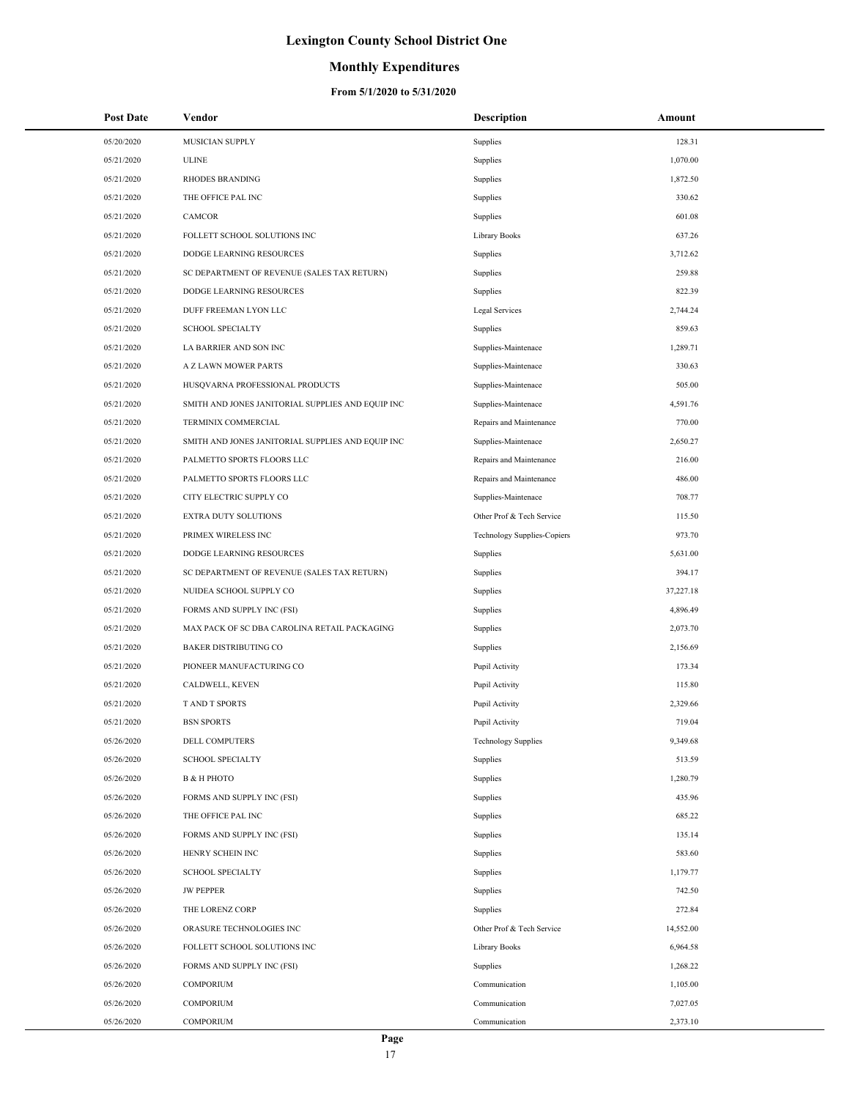### **Monthly Expenditures**

| <b>Post Date</b> | Vendor                                            | <b>Description</b>          | Amount    |
|------------------|---------------------------------------------------|-----------------------------|-----------|
| 05/20/2020       | <b>MUSICIAN SUPPLY</b>                            | Supplies                    | 128.31    |
| 05/21/2020       | <b>ULINE</b>                                      | Supplies                    | 1,070.00  |
| 05/21/2020       | <b>RHODES BRANDING</b>                            | Supplies                    | 1,872.50  |
| 05/21/2020       | THE OFFICE PAL INC                                | Supplies                    | 330.62    |
| 05/21/2020       | <b>CAMCOR</b>                                     | Supplies                    | 601.08    |
| 05/21/2020       | FOLLETT SCHOOL SOLUTIONS INC                      | Library Books               | 637.26    |
| 05/21/2020       | <b>DODGE LEARNING RESOURCES</b>                   | Supplies                    | 3,712.62  |
| 05/21/2020       | SC DEPARTMENT OF REVENUE (SALES TAX RETURN)       | Supplies                    | 259.88    |
| 05/21/2020       | <b>DODGE LEARNING RESOURCES</b>                   | Supplies                    | 822.39    |
| 05/21/2020       | DUFF FREEMAN LYON LLC                             | Legal Services              | 2,744.24  |
| 05/21/2020       | <b>SCHOOL SPECIALTY</b>                           | Supplies                    | 859.63    |
| 05/21/2020       | LA BARRIER AND SON INC                            | Supplies-Maintenace         | 1,289.71  |
| 05/21/2020       | A Z LAWN MOWER PARTS                              | Supplies-Maintenace         | 330.63    |
| 05/21/2020       | HUSQVARNA PROFESSIONAL PRODUCTS                   | Supplies-Maintenace         | 505.00    |
| 05/21/2020       | SMITH AND JONES JANITORIAL SUPPLIES AND EQUIP INC | Supplies-Maintenace         | 4,591.76  |
| 05/21/2020       | TERMINIX COMMERCIAL                               | Repairs and Maintenance     | 770.00    |
| 05/21/2020       | SMITH AND JONES JANITORIAL SUPPLIES AND EQUIP INC | Supplies-Maintenace         | 2,650.27  |
| 05/21/2020       | PALMETTO SPORTS FLOORS LLC                        | Repairs and Maintenance     | 216.00    |
| 05/21/2020       | PALMETTO SPORTS FLOORS LLC                        | Repairs and Maintenance     | 486.00    |
| 05/21/2020       | CITY ELECTRIC SUPPLY CO                           | Supplies-Maintenace         | 708.77    |
| 05/21/2020       | EXTRA DUTY SOLUTIONS                              | Other Prof & Tech Service   | 115.50    |
| 05/21/2020       | PRIMEX WIRELESS INC                               | Technology Supplies-Copiers | 973.70    |
| 05/21/2020       | DODGE LEARNING RESOURCES                          | Supplies                    | 5,631.00  |
| 05/21/2020       | SC DEPARTMENT OF REVENUE (SALES TAX RETURN)       | Supplies                    | 394.17    |
| 05/21/2020       | NUIDEA SCHOOL SUPPLY CO                           | Supplies                    | 37,227.18 |
| 05/21/2020       | FORMS AND SUPPLY INC (FSI)                        | Supplies                    | 4,896.49  |
| 05/21/2020       | MAX PACK OF SC DBA CAROLINA RETAIL PACKAGING      | Supplies                    | 2,073.70  |
| 05/21/2020       | <b>BAKER DISTRIBUTING CO</b>                      | Supplies                    | 2,156.69  |
| 05/21/2020       | PIONEER MANUFACTURING CO                          | Pupil Activity              | 173.34    |
| 05/21/2020       | CALDWELL, KEVEN                                   | Pupil Activity              | 115.80    |
| 05/21/2020       | <b>TAND T SPORTS</b>                              | Pupil Activity              | 2,329.66  |
| 05/21/2020       | <b>BSN SPORTS</b>                                 | Pupil Activity              | 719.04    |
| 05/26/2020       | DELL COMPUTERS                                    | <b>Technology Supplies</b>  | 9,349.68  |
| 05/26/2020       | <b>SCHOOL SPECIALTY</b>                           | Supplies                    | 513.59    |
| 05/26/2020       | <b>B &amp; H PHOTO</b>                            | Supplies                    | 1,280.79  |
| 05/26/2020       | FORMS AND SUPPLY INC (FSI)                        | Supplies                    | 435.96    |
| 05/26/2020       | THE OFFICE PAL INC                                | Supplies                    | 685.22    |
| 05/26/2020       | FORMS AND SUPPLY INC (FSI)                        | Supplies                    | 135.14    |
| 05/26/2020       | HENRY SCHEIN INC                                  | Supplies                    | 583.60    |
| 05/26/2020       | <b>SCHOOL SPECIALTY</b>                           | Supplies                    | 1,179.77  |
| 05/26/2020       | <b>JW PEPPER</b>                                  | Supplies                    | 742.50    |
| 05/26/2020       | THE LORENZ CORP                                   | Supplies                    | 272.84    |
| 05/26/2020       | ORASURE TECHNOLOGIES INC                          | Other Prof & Tech Service   | 14,552.00 |
| 05/26/2020       | FOLLETT SCHOOL SOLUTIONS INC                      | Library Books               | 6,964.58  |
| 05/26/2020       | FORMS AND SUPPLY INC (FSI)                        | Supplies                    | 1,268.22  |
| 05/26/2020       | <b>COMPORIUM</b>                                  | Communication               | 1,105.00  |
| 05/26/2020       | <b>COMPORIUM</b>                                  | Communication               | 7,027.05  |
| 05/26/2020       | <b>COMPORIUM</b>                                  | Communication               | 2,373.10  |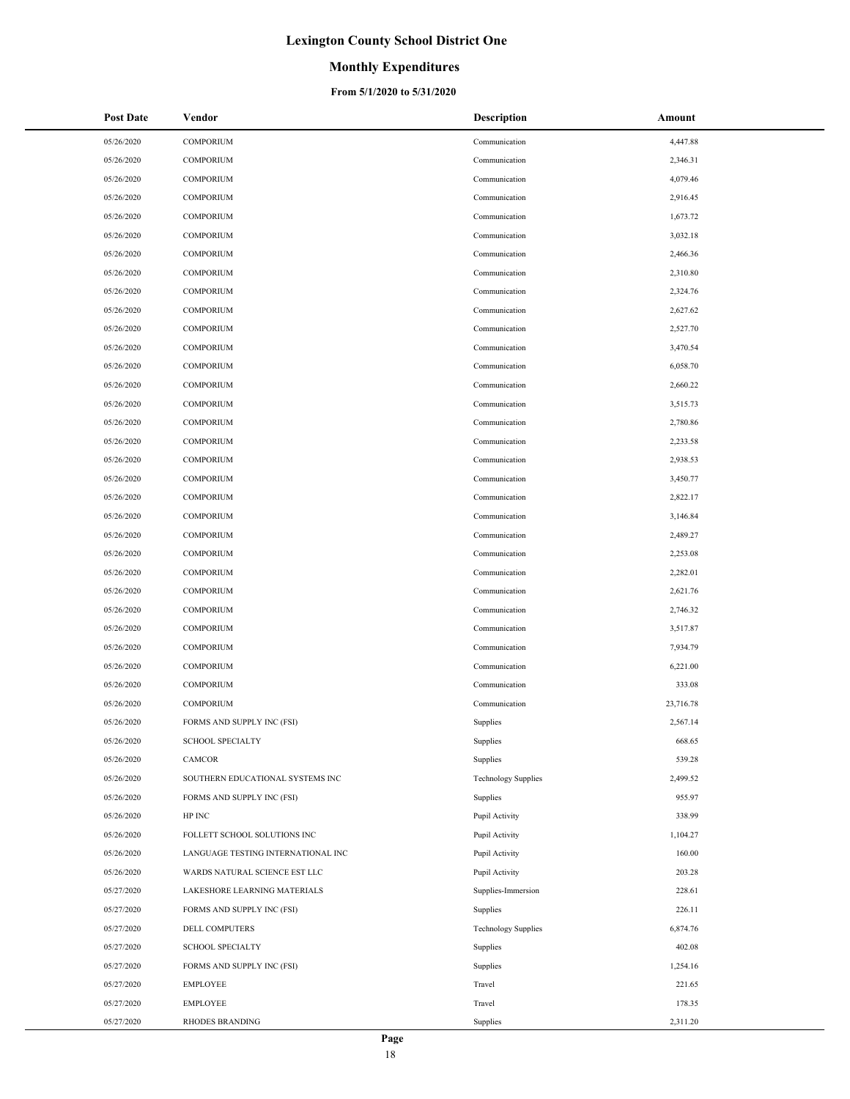### **Monthly Expenditures**

| <b>Post Date</b> | Vendor                                    | <b>Description</b>         | Amount    |
|------------------|-------------------------------------------|----------------------------|-----------|
| 05/26/2020       | <b>COMPORIUM</b>                          | Communication              | 4,447.88  |
| 05/26/2020       | <b>COMPORIUM</b>                          | Communication              | 2,346.31  |
| 05/26/2020       | <b>COMPORIUM</b>                          | Communication              | 4,079.46  |
| 05/26/2020       | <b>COMPORIUM</b>                          | Communication              | 2,916.45  |
| 05/26/2020       | <b>COMPORIUM</b>                          | Communication              | 1,673.72  |
| 05/26/2020       | <b>COMPORIUM</b>                          | Communication              | 3,032.18  |
| 05/26/2020       | <b>COMPORIUM</b>                          | Communication              | 2,466.36  |
| 05/26/2020       | <b>COMPORIUM</b>                          | Communication              | 2,310.80  |
| 05/26/2020       | <b>COMPORIUM</b>                          | Communication              | 2,324.76  |
| 05/26/2020       | <b>COMPORIUM</b>                          | Communication              | 2,627.62  |
| 05/26/2020       | <b>COMPORIUM</b>                          | Communication              | 2,527.70  |
| 05/26/2020       | <b>COMPORIUM</b>                          | Communication              | 3,470.54  |
| 05/26/2020       | <b>COMPORIUM</b>                          | Communication              | 6,058.70  |
| 05/26/2020       | <b>COMPORIUM</b>                          | Communication              | 2,660.22  |
| 05/26/2020       | <b>COMPORIUM</b>                          | Communication              | 3,515.73  |
| 05/26/2020       | <b>COMPORIUM</b>                          | Communication              | 2,780.86  |
| 05/26/2020       | <b>COMPORIUM</b>                          | Communication              | 2,233.58  |
| 05/26/2020       | <b>COMPORIUM</b>                          | Communication              | 2,938.53  |
| 05/26/2020       | <b>COMPORIUM</b>                          | Communication              | 3,450.77  |
| 05/26/2020       | <b>COMPORIUM</b>                          | Communication              | 2,822.17  |
| 05/26/2020       | <b>COMPORIUM</b>                          | Communication              | 3,146.84  |
| 05/26/2020       | <b>COMPORIUM</b>                          | Communication              | 2,489.27  |
| 05/26/2020       | <b>COMPORIUM</b>                          | Communication              | 2,253.08  |
| 05/26/2020       | <b>COMPORIUM</b>                          | Communication              | 2,282.01  |
| 05/26/2020       | <b>COMPORIUM</b>                          | Communication              | 2,621.76  |
| 05/26/2020       | <b>COMPORIUM</b>                          | Communication              | 2,746.32  |
| 05/26/2020       | <b>COMPORIUM</b>                          | Communication              | 3,517.87  |
| 05/26/2020       | <b>COMPORIUM</b>                          | Communication              | 7,934.79  |
| 05/26/2020       | <b>COMPORIUM</b>                          | Communication              | 6,221.00  |
| 05/26/2020       | <b>COMPORIUM</b>                          | Communication              | 333.08    |
| 05/26/2020       | <b>COMPORIUM</b>                          | Communication              | 23,716.78 |
| 05/26/2020       | FORMS AND SUPPLY INC (FSI)                | Supplies                   | 2,567.14  |
| 05/26/2020       | <b>SCHOOL SPECIALTY</b>                   | Supplies                   | 668.65    |
| 05/26/2020       | CAMCOR                                    | Supplies                   | 539.28    |
| 05/26/2020       | SOUTHERN EDUCATIONAL SYSTEMS INC          | <b>Technology Supplies</b> | 2,499.52  |
| 05/26/2020       | FORMS AND SUPPLY INC (FSI)                | Supplies                   | 955.97    |
| 05/26/2020       | HP INC                                    | Pupil Activity             | 338.99    |
| 05/26/2020       | FOLLETT SCHOOL SOLUTIONS INC              | Pupil Activity             | 1,104.27  |
| 05/26/2020       | LANGUAGE TESTING INTERNATIONAL INC        | Pupil Activity             | 160.00    |
| 05/26/2020       | WARDS NATURAL SCIENCE EST LLC             | Pupil Activity             | 203.28    |
| 05/27/2020       | LAKESHORE LEARNING MATERIALS              | Supplies-Immersion         | 228.61    |
| 05/27/2020       | FORMS AND SUPPLY INC (FSI)                | Supplies                   | 226.11    |
| 05/27/2020       | DELL COMPUTERS                            | <b>Technology Supplies</b> | 6,874.76  |
| 05/27/2020       | <b>SCHOOL SPECIALTY</b>                   | Supplies                   | 402.08    |
| 05/27/2020       | FORMS AND SUPPLY INC (FSI)                | Supplies                   | 1,254.16  |
| 05/27/2020       | <b>EMPLOYEE</b>                           | Travel                     | 221.65    |
| 05/27/2020       | <b>EMPLOYEE</b><br><b>RHODES BRANDING</b> | Travel                     | 178.35    |
| 05/27/2020       |                                           | Supplies                   | 2,311.20  |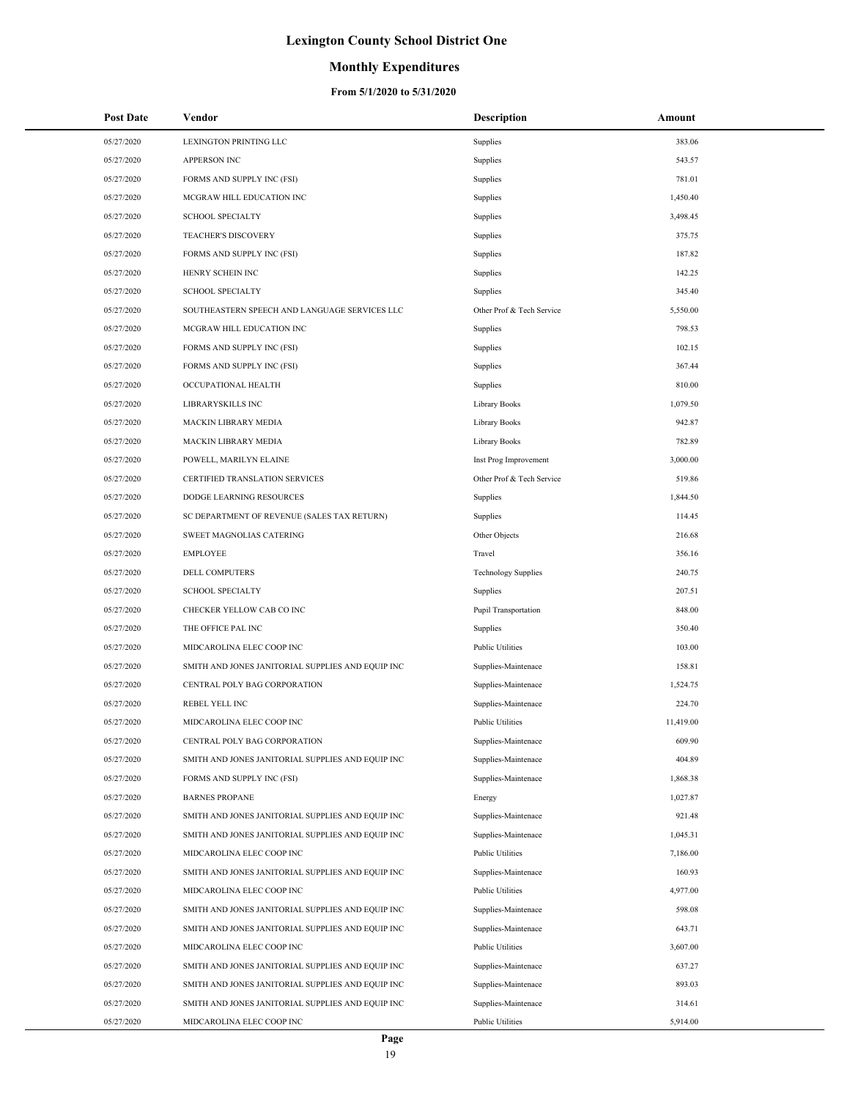## **Monthly Expenditures**

| Post Date  | Vendor                                            | Description                | Amount    |
|------------|---------------------------------------------------|----------------------------|-----------|
| 05/27/2020 | LEXINGTON PRINTING LLC                            | Supplies                   | 383.06    |
| 05/27/2020 | APPERSON INC                                      | Supplies                   | 543.57    |
| 05/27/2020 | FORMS AND SUPPLY INC (FSI)                        | Supplies                   | 781.01    |
| 05/27/2020 | MCGRAW HILL EDUCATION INC                         | Supplies                   | 1,450.40  |
| 05/27/2020 | <b>SCHOOL SPECIALTY</b>                           | Supplies                   | 3,498.45  |
| 05/27/2020 | TEACHER'S DISCOVERY                               | Supplies                   | 375.75    |
| 05/27/2020 | FORMS AND SUPPLY INC (FSI)                        | Supplies                   | 187.82    |
| 05/27/2020 | HENRY SCHEIN INC                                  | Supplies                   | 142.25    |
| 05/27/2020 | <b>SCHOOL SPECIALTY</b>                           | Supplies                   | 345.40    |
| 05/27/2020 | SOUTHEASTERN SPEECH AND LANGUAGE SERVICES LLC     | Other Prof & Tech Service  | 5,550.00  |
| 05/27/2020 | MCGRAW HILL EDUCATION INC                         | Supplies                   | 798.53    |
| 05/27/2020 | FORMS AND SUPPLY INC (FSI)                        | Supplies                   | 102.15    |
| 05/27/2020 | FORMS AND SUPPLY INC (FSI)                        | Supplies                   | 367.44    |
| 05/27/2020 | OCCUPATIONAL HEALTH                               | Supplies                   | 810.00    |
| 05/27/2020 | LIBRARYSKILLS INC                                 | Library Books              | 1,079.50  |
| 05/27/2020 | MACKIN LIBRARY MEDIA                              | Library Books              | 942.87    |
| 05/27/2020 | MACKIN LIBRARY MEDIA                              | Library Books              | 782.89    |
| 05/27/2020 | POWELL, MARILYN ELAINE                            | Inst Prog Improvement      | 3,000.00  |
| 05/27/2020 | CERTIFIED TRANSLATION SERVICES                    | Other Prof & Tech Service  | 519.86    |
| 05/27/2020 | DODGE LEARNING RESOURCES                          | Supplies                   | 1,844.50  |
| 05/27/2020 | SC DEPARTMENT OF REVENUE (SALES TAX RETURN)       | Supplies                   | 114.45    |
| 05/27/2020 | SWEET MAGNOLIAS CATERING                          | Other Objects              | 216.68    |
| 05/27/2020 | <b>EMPLOYEE</b>                                   | Travel                     | 356.16    |
| 05/27/2020 | DELL COMPUTERS                                    | <b>Technology Supplies</b> | 240.75    |
| 05/27/2020 | <b>SCHOOL SPECIALTY</b>                           | Supplies                   | 207.51    |
| 05/27/2020 | CHECKER YELLOW CAB CO INC                         | Pupil Transportation       | 848.00    |
| 05/27/2020 | THE OFFICE PAL INC                                | Supplies                   | 350.40    |
| 05/27/2020 | MIDCAROLINA ELEC COOP INC                         | <b>Public Utilities</b>    | 103.00    |
| 05/27/2020 | SMITH AND JONES JANITORIAL SUPPLIES AND EQUIP INC | Supplies-Maintenace        | 158.81    |
| 05/27/2020 | CENTRAL POLY BAG CORPORATION                      | Supplies-Maintenace        | 1,524.75  |
| 05/27/2020 | <b>REBEL YELL INC</b>                             | Supplies-Maintenace        | 224.70    |
| 05/27/2020 | MIDCAROLINA ELEC COOP INC                         | <b>Public Utilities</b>    | 11,419.00 |
| 05/27/2020 | CENTRAL POLY BAG CORPORATION                      | Supplies-Maintenace        | 609.90    |
| 05/27/2020 | SMITH AND JONES JANITORIAL SUPPLIES AND EQUIP INC | Supplies-Maintenace        | 404.89    |
| 05/27/2020 | FORMS AND SUPPLY INC (FSI)                        | Supplies-Maintenace        | 1,868.38  |
| 05/27/2020 | <b>BARNES PROPANE</b>                             | Energy                     | 1,027.87  |
| 05/27/2020 | SMITH AND JONES JANITORIAL SUPPLIES AND EQUIP INC | Supplies-Maintenace        | 921.48    |
| 05/27/2020 | SMITH AND JONES JANITORIAL SUPPLIES AND EQUIP INC | Supplies-Maintenace        | 1,045.31  |
| 05/27/2020 | MIDCAROLINA ELEC COOP INC                         | <b>Public Utilities</b>    | 7,186.00  |
| 05/27/2020 | SMITH AND JONES JANITORIAL SUPPLIES AND EQUIP INC | Supplies-Maintenace        | 160.93    |
| 05/27/2020 | MIDCAROLINA ELEC COOP INC                         | Public Utilities           | 4,977.00  |
| 05/27/2020 | SMITH AND JONES JANITORIAL SUPPLIES AND EQUIP INC | Supplies-Maintenace        | 598.08    |
| 05/27/2020 | SMITH AND JONES JANITORIAL SUPPLIES AND EQUIP INC | Supplies-Maintenace        | 643.71    |
| 05/27/2020 | MIDCAROLINA ELEC COOP INC                         | Public Utilities           | 3,607.00  |
| 05/27/2020 | SMITH AND JONES JANITORIAL SUPPLIES AND EQUIP INC | Supplies-Maintenace        | 637.27    |
| 05/27/2020 | SMITH AND JONES JANITORIAL SUPPLIES AND EQUIP INC | Supplies-Maintenace        | 893.03    |
| 05/27/2020 | SMITH AND JONES JANITORIAL SUPPLIES AND EQUIP INC | Supplies-Maintenace        | 314.61    |
| 05/27/2020 | MIDCAROLINA ELEC COOP INC                         | <b>Public Utilities</b>    | 5,914.00  |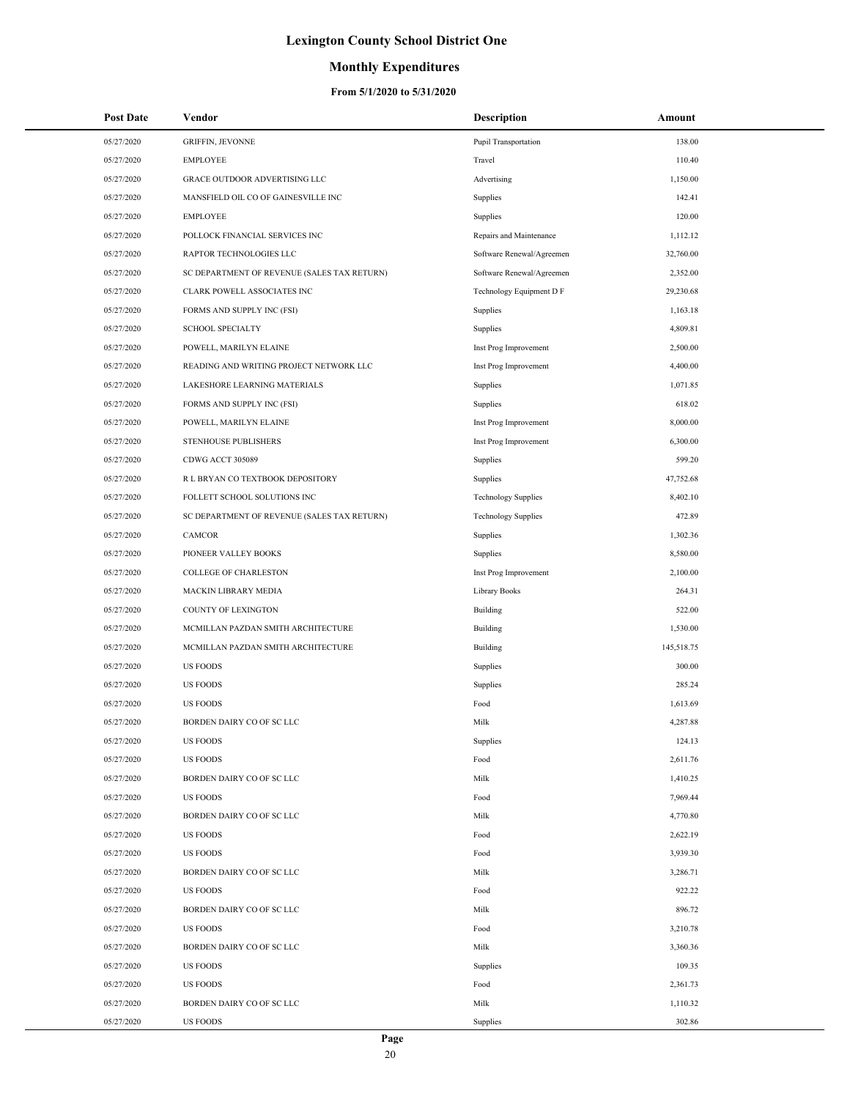### **Monthly Expenditures**

| <b>Post Date</b> | Vendor                                      | <b>Description</b>          | Amount     |
|------------------|---------------------------------------------|-----------------------------|------------|
| 05/27/2020       | <b>GRIFFIN, JEVONNE</b>                     | <b>Pupil Transportation</b> | 138.00     |
| 05/27/2020       | <b>EMPLOYEE</b>                             | Travel                      | 110.40     |
| 05/27/2020       | GRACE OUTDOOR ADVERTISING LLC               | Advertising                 | 1,150.00   |
| 05/27/2020       | MANSFIELD OIL CO OF GAINESVILLE INC         | Supplies                    | 142.41     |
| 05/27/2020       | <b>EMPLOYEE</b>                             | Supplies                    | 120.00     |
| 05/27/2020       | POLLOCK FINANCIAL SERVICES INC              | Repairs and Maintenance     | 1,112.12   |
| 05/27/2020       | RAPTOR TECHNOLOGIES LLC                     | Software Renewal/Agreemen   | 32,760.00  |
| 05/27/2020       | SC DEPARTMENT OF REVENUE (SALES TAX RETURN) | Software Renewal/Agreemen   | 2,352.00   |
| 05/27/2020       | CLARK POWELL ASSOCIATES INC                 | Technology Equipment D F    | 29,230.68  |
| 05/27/2020       | FORMS AND SUPPLY INC (FSI)                  | Supplies                    | 1,163.18   |
| 05/27/2020       | <b>SCHOOL SPECIALTY</b>                     | Supplies                    | 4,809.81   |
| 05/27/2020       | POWELL, MARILYN ELAINE                      | Inst Prog Improvement       | 2,500.00   |
| 05/27/2020       | READING AND WRITING PROJECT NETWORK LLC     | Inst Prog Improvement       | 4,400.00   |
| 05/27/2020       | LAKESHORE LEARNING MATERIALS                | Supplies                    | 1,071.85   |
| 05/27/2020       | FORMS AND SUPPLY INC (FSI)                  | Supplies                    | 618.02     |
| 05/27/2020       | POWELL, MARILYN ELAINE                      | Inst Prog Improvement       | 8,000.00   |
| 05/27/2020       | STENHOUSE PUBLISHERS                        | Inst Prog Improvement       | 6,300.00   |
| 05/27/2020       | CDWG ACCT 305089                            | Supplies                    | 599.20     |
| 05/27/2020       | R L BRYAN CO TEXTBOOK DEPOSITORY            | Supplies                    | 47,752.68  |
| 05/27/2020       | FOLLETT SCHOOL SOLUTIONS INC                | <b>Technology Supplies</b>  | 8,402.10   |
| 05/27/2020       | SC DEPARTMENT OF REVENUE (SALES TAX RETURN) | <b>Technology Supplies</b>  | 472.89     |
| 05/27/2020       | CAMCOR                                      | Supplies                    | 1,302.36   |
| 05/27/2020       | PIONEER VALLEY BOOKS                        | Supplies                    | 8,580.00   |
| 05/27/2020       | <b>COLLEGE OF CHARLESTON</b>                | Inst Prog Improvement       | 2,100.00   |
| 05/27/2020       | MACKIN LIBRARY MEDIA                        | Library Books               | 264.31     |
| 05/27/2020       | COUNTY OF LEXINGTON                         | Building                    | 522.00     |
| 05/27/2020       | MCMILLAN PAZDAN SMITH ARCHITECTURE          | Building                    | 1,530.00   |
| 05/27/2020       | MCMILLAN PAZDAN SMITH ARCHITECTURE          | Building                    | 145,518.75 |
| 05/27/2020       | <b>US FOODS</b>                             | Supplies                    | 300.00     |
| 05/27/2020       | <b>US FOODS</b>                             | Supplies                    | 285.24     |
| 05/27/2020       | US FOODS                                    | Food                        | 1,613.69   |
| 05/27/2020       | BORDEN DAIRY CO OF SC LLC                   | Milk                        | 4,287.88   |
| 05/27/2020       | <b>US FOODS</b>                             | Supplies                    | 124.13     |
| 05/27/2020       | <b>US FOODS</b>                             | Food                        | 2,611.76   |
| 05/27/2020       | BORDEN DAIRY CO OF SC LLC                   | Milk                        | 1,410.25   |
| 05/27/2020       | US FOODS                                    | Food                        | 7,969.44   |
| 05/27/2020       | BORDEN DAIRY CO OF SC LLC                   | Milk                        | 4,770.80   |
| 05/27/2020       | <b>US FOODS</b>                             | Food                        | 2,622.19   |
| 05/27/2020       | <b>US FOODS</b>                             | Food                        | 3,939.30   |
| 05/27/2020       | BORDEN DAIRY CO OF SC LLC                   | Milk                        | 3,286.71   |
| 05/27/2020       | <b>US FOODS</b>                             | Food                        | 922.22     |
| 05/27/2020       | BORDEN DAIRY CO OF SC LLC                   | Milk                        | 896.72     |
| 05/27/2020       | US FOODS                                    | Food                        | 3,210.78   |
| 05/27/2020       | BORDEN DAIRY CO OF SC LLC                   | Milk                        | 3,360.36   |
| 05/27/2020       | <b>US FOODS</b>                             | Supplies                    | 109.35     |
| 05/27/2020       | <b>US FOODS</b>                             | Food                        | 2,361.73   |
| 05/27/2020       | BORDEN DAIRY CO OF SC LLC                   | Milk                        | 1,110.32   |
| 05/27/2020       | <b>US FOODS</b>                             | Supplies                    | 302.86     |